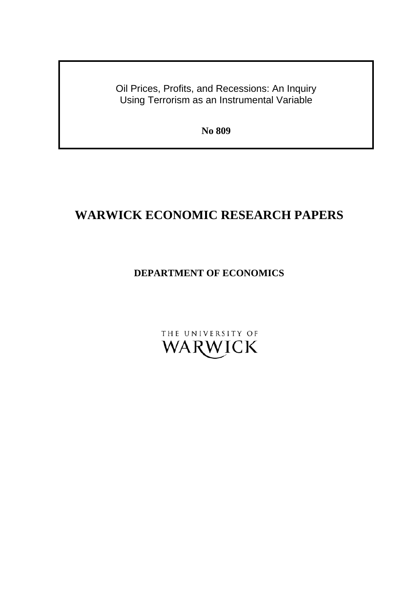Oil Prices, Profits, and Recessions: An Inquiry Using Terrorism as an Instrumental Variable

**No 809** 

# **WARWICK ECONOMIC RESEARCH PAPERS**

## **DEPARTMENT OF ECONOMICS**

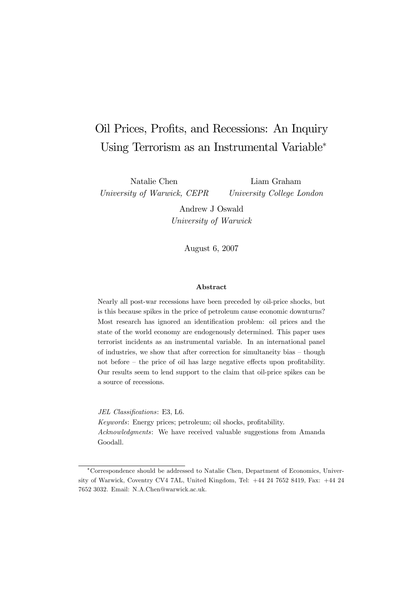# Oil Prices, Profits, and Recessions: An Inquiry Using Terrorism as an Instrumental Variable<sup>∗</sup>

Natalie Chen University of Warwick, CEPR

Liam Graham University College London

Andrew J Oswald University of Warwick

August 6, 2007

#### Abstract

Nearly all post-war recessions have been preceded by oil-price shocks, but is this because spikes in the price of petroleum cause economic downturns? Most research has ignored an identification problem: oil prices and the state of the world economy are endogenously determined. This paper uses terrorist incidents as an instrumental variable. In an international panel of industries, we show that after correction for simultaneity bias — though not before — the price of oil has large negative effects upon profitability. Our results seem to lend support to the claim that oil-price spikes can be a source of recessions.

JEL Classifications: E3, L6. Keywords: Energy prices; petroleum; oil shocks, profitability. Acknowledgments: We have received valuable suggestions from Amanda Goodall.

<sup>∗</sup>Correspondence should be addressed to Natalie Chen, Department of Economics, University of Warwick, Coventry CV4 7AL, United Kingdom, Tel: +44 24 7652 8419, Fax: +44 24 7652 3032. Email: N.A.Chen@warwick.ac.uk.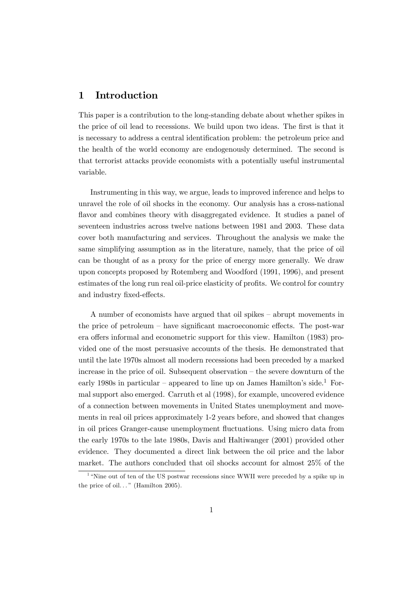### 1 Introduction

This paper is a contribution to the long-standing debate about whether spikes in the price of oil lead to recessions. We build upon two ideas. The first is that it is necessary to address a central identification problem: the petroleum price and the health of the world economy are endogenously determined. The second is that terrorist attacks provide economists with a potentially useful instrumental variable.

Instrumenting in this way, we argue, leads to improved inference and helps to unravel the role of oil shocks in the economy. Our analysis has a cross-national flavor and combines theory with disaggregated evidence. It studies a panel of seventeen industries across twelve nations between 1981 and 2003. These data cover both manufacturing and services. Throughout the analysis we make the same simplifying assumption as in the literature, namely, that the price of oil can be thought of as a proxy for the price of energy more generally. We draw upon concepts proposed by Rotemberg and Woodford (1991, 1996), and present estimates of the long run real oil-price elasticity of profits. We control for country and industry fixed-effects.

A number of economists have argued that oil spikes — abrupt movements in the price of petroleum — have significant macroeconomic effects. The post-war era offers informal and econometric support for this view. Hamilton (1983) provided one of the most persuasive accounts of the thesis. He demonstrated that until the late 1970s almost all modern recessions had been preceded by a marked increase in the price of oil. Subsequent observation — the severe downturn of the early 1980s in particular – appeared to line up on James Hamilton's side.<sup>1</sup> Formal support also emerged. Carruth et al (1998), for example, uncovered evidence of a connection between movements in United States unemployment and movements in real oil prices approximately 1-2 years before, and showed that changes in oil prices Granger-cause unemployment fluctuations. Using micro data from the early 1970s to the late 1980s, Davis and Haltiwanger (2001) provided other evidence. They documented a direct link between the oil price and the labor market. The authors concluded that oil shocks account for almost 25% of the

<sup>&</sup>lt;sup>1</sup> "Nine out of ten of the US postwar recessions since WWII were preceded by a spike up in the price of oil..." (Hamilton 2005).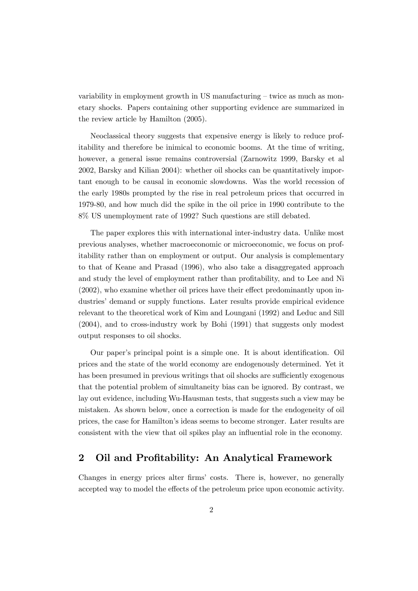variability in employment growth in US manufacturing — twice as much as monetary shocks. Papers containing other supporting evidence are summarized in the review article by Hamilton (2005).

Neoclassical theory suggests that expensive energy is likely to reduce profitability and therefore be inimical to economic booms. At the time of writing, however, a general issue remains controversial (Zarnowitz 1999, Barsky et al 2002, Barsky and Kilian 2004): whether oil shocks can be quantitatively important enough to be causal in economic slowdowns. Was the world recession of the early 1980s prompted by the rise in real petroleum prices that occurred in 1979-80, and how much did the spike in the oil price in 1990 contribute to the 8% US unemployment rate of 1992? Such questions are still debated.

The paper explores this with international inter-industry data. Unlike most previous analyses, whether macroeconomic or microeconomic, we focus on profitability rather than on employment or output. Our analysis is complementary to that of Keane and Prasad (1996), who also take a disaggregated approach and study the level of employment rather than profitability, and to Lee and Ni (2002), who examine whether oil prices have their effect predominantly upon industries' demand or supply functions. Later results provide empirical evidence relevant to the theoretical work of Kim and Loungani (1992) and Leduc and Sill (2004), and to cross-industry work by Bohi (1991) that suggests only modest output responses to oil shocks.

Our paper's principal point is a simple one. It is about identification. Oil prices and the state of the world economy are endogenously determined. Yet it has been presumed in previous writings that oil shocks are sufficiently exogenous that the potential problem of simultaneity bias can be ignored. By contrast, we lay out evidence, including Wu-Hausman tests, that suggests such a view may be mistaken. As shown below, once a correction is made for the endogeneity of oil prices, the case for Hamilton's ideas seems to become stronger. Later results are consistent with the view that oil spikes play an influential role in the economy.

#### 2 Oil and Profitability: An Analytical Framework

Changes in energy prices alter firms' costs. There is, however, no generally accepted way to model the effects of the petroleum price upon economic activity.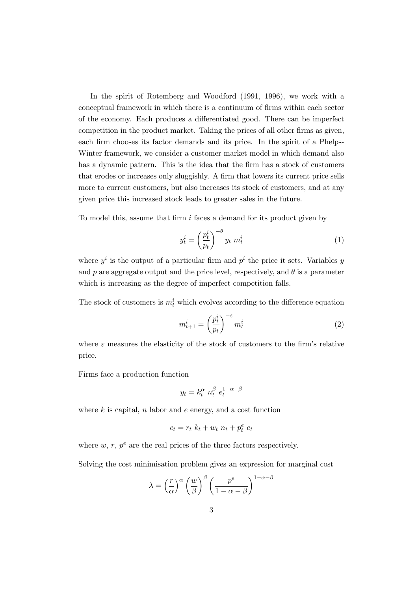In the spirit of Rotemberg and Woodford (1991, 1996), we work with a conceptual framework in which there is a continuum of firms within each sector of the economy. Each produces a differentiated good. There can be imperfect competition in the product market. Taking the prices of all other firms as given, each firm chooses its factor demands and its price. In the spirit of a Phelps-Winter framework, we consider a customer market model in which demand also has a dynamic pattern. This is the idea that the firm has a stock of customers that erodes or increases only sluggishly. A firm that lowers its current price sells more to current customers, but also increases its stock of customers, and at any given price this increased stock leads to greater sales in the future.

To model this, assume that firm  $i$  faces a demand for its product given by

$$
y_t^i = \left(\frac{p_t^i}{p_t}\right)^{-\theta} y_t \ m_t^i \tag{1}
$$

where  $y^i$  is the output of a particular firm and  $p^i$  the price it sets. Variables y and p are aggregate output and the price level, respectively, and  $\theta$  is a parameter which is increasing as the degree of imperfect competition falls.

The stock of customers is  $m_t^i$  which evolves according to the difference equation

$$
m_{t+1}^i = \left(\frac{p_t^i}{p_t}\right)^{-\varepsilon} m_t^i \tag{2}
$$

where  $\varepsilon$  measures the elasticity of the stock of customers to the firm's relative price.

Firms face a production function

$$
y_t = k_t^{\alpha} n_t^{\beta} e_t^{1-\alpha-\beta}
$$

where  $k$  is capital,  $n$  labor and  $e$  energy, and a cost function

$$
c_t = r_t \ k_t + w_t \ n_t + p_t^e \ e_t
$$

where w, r,  $p^e$  are the real prices of the three factors respectively.

Solving the cost minimisation problem gives an expression for marginal cost

$$
\lambda = \left(\frac{r}{\alpha}\right)^{\alpha} \left(\frac{w}{\beta}\right)^{\beta} \left(\frac{p^{e}}{1-\alpha-\beta}\right)^{1-\alpha-\beta}
$$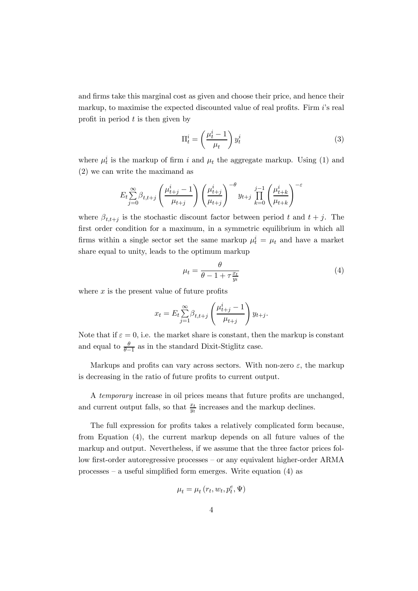and firms take this marginal cost as given and choose their price, and hence their markup, to maximise the expected discounted value of real profits. Firm i's real profit in period  $t$  is then given by

$$
\Pi_t^i = \left(\frac{\mu_t^i - 1}{\mu_t}\right) y_t^i \tag{3}
$$

where  $\mu_t^i$  is the markup of firm i and  $\mu_t$  the aggregate markup. Using (1) and (2) we can write the maximand as

$$
E_t \sum_{j=0}^{\infty} \beta_{t,t+j} \left(\frac{\mu_{t+j}^i - 1}{\mu_{t+j}}\right) \left(\frac{\mu_{t+j}^i}{\mu_{t+j}}\right)^{-\theta} y_{t+j} \prod_{k=0}^{j-1} \left(\frac{\mu_{t+k}^i}{\mu_{t+k}}\right)^{-\epsilon}
$$

where  $\beta_{t,t+i}$  is the stochastic discount factor between period t and  $t + j$ . The first order condition for a maximum, in a symmetric equilibrium in which all firms within a single sector set the same markup  $\mu_t^i = \mu_t$  and have a market share equal to unity, leads to the optimum markup

$$
\mu_t = \frac{\theta}{\theta - 1 + \tau \frac{x_t}{y_t}}\tag{4}
$$

where  $x$  is the present value of future profits

$$
x_t = E_t \sum_{j=1}^{\infty} \beta_{t,t+j} \left( \frac{\mu_{t+j}^i - 1}{\mu_{t+j}} \right) y_{t+j}.
$$

Note that if  $\varepsilon = 0$ , i.e. the market share is constant, then the markup is constant and equal to  $\frac{\theta}{\theta-1}$  as in the standard Dixit-Stiglitz case.

Markups and profits can vary across sectors. With non-zero  $\varepsilon$ , the markup is decreasing in the ratio of future profits to current output.

A temporary increase in oil prices means that future profits are unchanged, and current output falls, so that  $\frac{x_t}{y_t}$  increases and the markup declines.

The full expression for profits takes a relatively complicated form because, from Equation (4), the current markup depends on all future values of the markup and output. Nevertheless, if we assume that the three factor prices follow first-order autoregressive processes — or any equivalent higher-order ARMA processes — a useful simplified form emerges. Write equation (4) as

$$
\mu_t = \mu_t(r_t, w_t, p_t^e, \Psi)
$$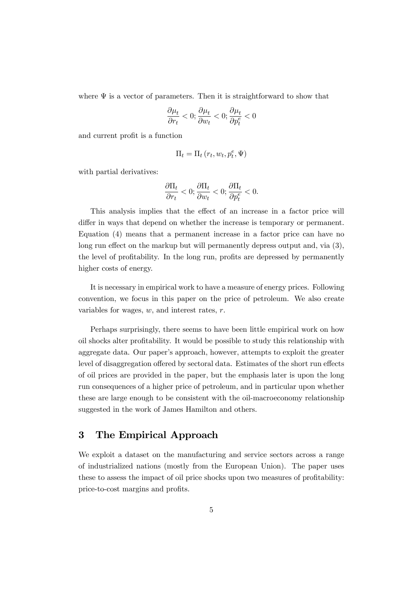where  $\Psi$  is a vector of parameters. Then it is straightforward to show that

$$
\frac{\partial \mu_t}{\partial r_t} < 0; \frac{\partial \mu_t}{\partial w_t} < 0; \frac{\partial \mu_t}{\partial p_t^e} < 0
$$

and current profit is a function

$$
\Pi_t = \Pi_t \left( r_t, w_t, p_t^e, \Psi \right)
$$

with partial derivatives:

$$
\frac{\partial \Pi_t}{\partial r_t} < 0; \frac{\partial \Pi_t}{\partial w_t} < 0; \frac{\partial \Pi_t}{\partial p_t^e} < 0.
$$

This analysis implies that the effect of an increase in a factor price will differ in ways that depend on whether the increase is temporary or permanent. Equation (4) means that a permanent increase in a factor price can have no long run effect on the markup but will permanently depress output and, via (3), the level of profitability. In the long run, profits are depressed by permanently higher costs of energy.

It is necessary in empirical work to have a measure of energy prices. Following convention, we focus in this paper on the price of petroleum. We also create variables for wages,  $w$ , and interest rates,  $r$ .

Perhaps surprisingly, there seems to have been little empirical work on how oil shocks alter profitability. It would be possible to study this relationship with aggregate data. Our paper's approach, however, attempts to exploit the greater level of disaggregation offered by sectoral data. Estimates of the short run effects of oil prices are provided in the paper, but the emphasis later is upon the long run consequences of a higher price of petroleum, and in particular upon whether these are large enough to be consistent with the oil-macroeconomy relationship suggested in the work of James Hamilton and others.

### 3 The Empirical Approach

We exploit a dataset on the manufacturing and service sectors across a range of industrialized nations (mostly from the European Union). The paper uses these to assess the impact of oil price shocks upon two measures of profitability: price-to-cost margins and profits.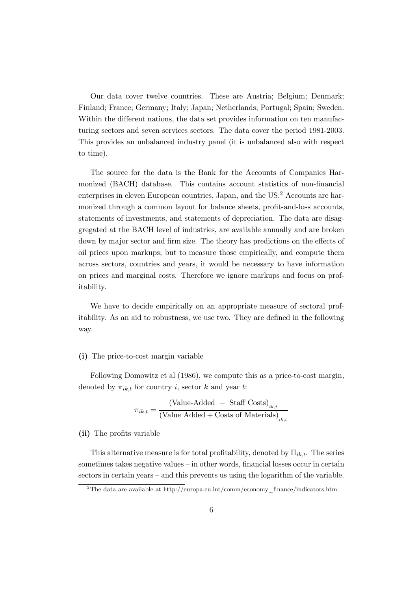Our data cover twelve countries. These are Austria; Belgium; Denmark; Finland; France; Germany; Italy; Japan; Netherlands; Portugal; Spain; Sweden. Within the different nations, the data set provides information on ten manufacturing sectors and seven services sectors. The data cover the period 1981-2003. This provides an unbalanced industry panel (it is unbalanced also with respect to time).

The source for the data is the Bank for the Accounts of Companies Harmonized (BACH) database. This contains account statistics of non-financial enterprises in eleven European countries, Japan, and the US.<sup>2</sup> Accounts are harmonized through a common layout for balance sheets, profit-and-loss accounts, statements of investments, and statements of depreciation. The data are disaggregated at the BACH level of industries, are available annually and are broken down by major sector and firm size. The theory has predictions on the effects of oil prices upon markups; but to measure those empirically, and compute them across sectors, countries and years, it would be necessary to have information on prices and marginal costs. Therefore we ignore markups and focus on profitability.

We have to decide empirically on an appropriate measure of sectoral profitability. As an aid to robustness, we use two. They are defined in the following way.

#### (i) The price-to-cost margin variable

Following Domowitz et al (1986), we compute this as a price-to-cost margin, denoted by  $\pi_{ik,t}$  for country i, sector k and year t:

$$
\pi_{ik,t} = \frac{(\text{Value-Added} - \text{Staff Costs})_{_{ik,t}}}{(\text{Value added} + \text{Costs of Materials})_{_{ik,t}}}
$$

(ii) The profits variable

This alternative measure is for total profitability, denoted by  $\Pi_{ik,t}$ . The series sometimes takes negative values — in other words, financial losses occur in certain sectors in certain years — and this prevents us using the logarithm of the variable.

<sup>&</sup>lt;sup>2</sup>The data are available at http://europa.eu.int/comm/economy\_finance/indicators.htm.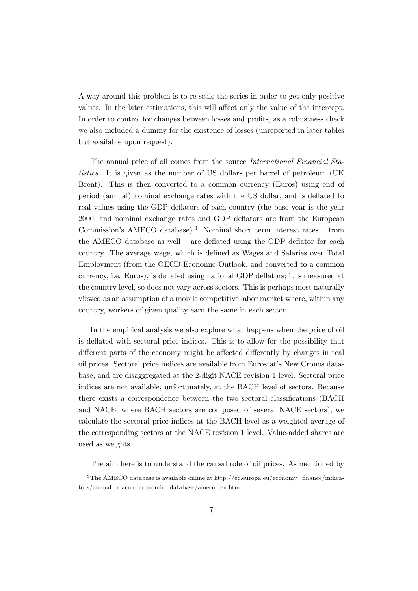A way around this problem is to re-scale the series in order to get only positive values. In the later estimations, this will affect only the value of the intercept. In order to control for changes between losses and profits, as a robustness check we also included a dummy for the existence of losses (unreported in later tables but available upon request).

The annual price of oil comes from the source International Financial Statistics. It is given as the number of US dollars per barrel of petroleum (UK Brent). This is then converted to a common currency (Euros) using end of period (annual) nominal exchange rates with the US dollar, and is deflated to real values using the GDP deflators of each country (the base year is the year 2000, and nominal exchange rates and GDP deflators are from the European Commission's AMECO database).<sup>3</sup> Nominal short term interest rates – from the AMECO database as well — are deflated using the GDP deflator for each country. The average wage, which is defined as Wages and Salaries over Total Employment (from the OECD Economic Outlook, and converted to a common currency, i.e. Euros), is deflated using national GDP deflators; it is measured at the country level, so does not vary across sectors. This is perhaps most naturally viewed as an assumption of a mobile competitive labor market where, within any country, workers of given quality earn the same in each sector.

In the empirical analysis we also explore what happens when the price of oil is deflated with sectoral price indices. This is to allow for the possibility that different parts of the economy might be affected differently by changes in real oil prices. Sectoral price indices are available from Eurostat's New Cronos database, and are disaggregated at the 2-digit NACE revision 1 level. Sectoral price indices are not available, unfortunately, at the BACH level of sectors. Because there exists a correspondence between the two sectoral classifications (BACH and NACE, where BACH sectors are composed of several NACE sectors), we calculate the sectoral price indices at the BACH level as a weighted average of the corresponding sectors at the NACE revision 1 level. Value-added shares are used as weights.

The aim here is to understand the causal role of oil prices. As mentioned by

<sup>&</sup>lt;sup>3</sup>The AMECO database is available online at http://ec.europa.eu/economy\_finance/indicators/annual\_macro\_economic\_database/ameco\_en.htm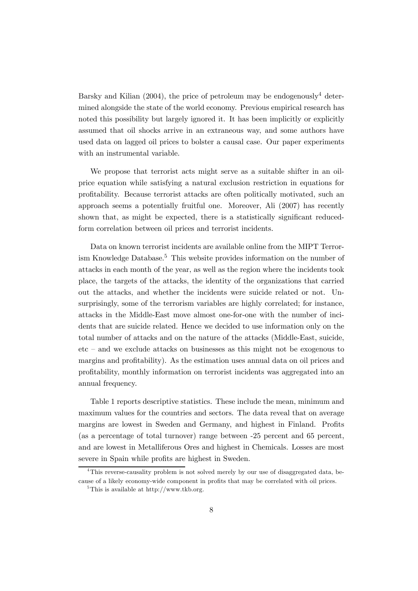Barsky and Kilian (2004), the price of petroleum may be endogenously<sup>4</sup> determined alongside the state of the world economy. Previous empirical research has noted this possibility but largely ignored it. It has been implicitly or explicitly assumed that oil shocks arrive in an extraneous way, and some authors have used data on lagged oil prices to bolster a causal case. Our paper experiments with an instrumental variable.

We propose that terrorist acts might serve as a suitable shifter in an oilprice equation while satisfying a natural exclusion restriction in equations for profitability. Because terrorist attacks are often politically motivated, such an approach seems a potentially fruitful one. Moreover, Ali (2007) has recently shown that, as might be expected, there is a statistically significant reducedform correlation between oil prices and terrorist incidents.

Data on known terrorist incidents are available online from the MIPT Terrorism Knowledge Database.5 This website provides information on the number of attacks in each month of the year, as well as the region where the incidents took place, the targets of the attacks, the identity of the organizations that carried out the attacks, and whether the incidents were suicide related or not. Unsurprisingly, some of the terrorism variables are highly correlated; for instance, attacks in the Middle-East move almost one-for-one with the number of incidents that are suicide related. Hence we decided to use information only on the total number of attacks and on the nature of the attacks (Middle-East, suicide, etc — and we exclude attacks on businesses as this might not be exogenous to margins and profitability). As the estimation uses annual data on oil prices and profitability, monthly information on terrorist incidents was aggregated into an annual frequency.

Table 1 reports descriptive statistics. These include the mean, minimum and maximum values for the countries and sectors. The data reveal that on average margins are lowest in Sweden and Germany, and highest in Finland. Profits (as a percentage of total turnover) range between -25 percent and 65 percent, and are lowest in Metalliferous Ores and highest in Chemicals. Losses are most severe in Spain while profits are highest in Sweden.

<sup>&</sup>lt;sup>4</sup>This reverse-causality problem is not solved merely by our use of disaggregated data, because of a likely economy-wide component in profits that may be correlated with oil prices.

 ${}^{5}$ This is available at http://www.tkb.org.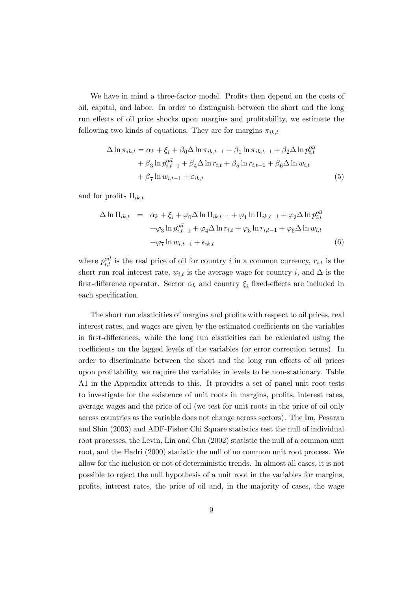We have in mind a three-factor model. Profits then depend on the costs of oil, capital, and labor. In order to distinguish between the short and the long run effects of oil price shocks upon margins and profitability, we estimate the following two kinds of equations. They are for margins  $\pi_{ik,t}$ 

$$
\Delta \ln \pi_{ik,t} = \alpha_k + \xi_i + \beta_0 \Delta \ln \pi_{ik,t-1} + \beta_1 \ln \pi_{ik,t-1} + \beta_2 \Delta \ln p_{i,t}^{oil}
$$
  
+ 
$$
\beta_3 \ln p_{i,t-1}^{oil} + \beta_4 \Delta \ln r_{i,t} + \beta_5 \ln r_{i,t-1} + \beta_6 \Delta \ln w_{i,t}
$$
  
+ 
$$
\beta_7 \ln w_{i,t-1} + \varepsilon_{ik,t}
$$
 (5)

and for profits  $\Pi_{ik,t}$ 

$$
\Delta \ln \Pi_{ik,t} = \alpha_k + \xi_i + \varphi_0 \Delta \ln \Pi_{ik,t-1} + \varphi_1 \ln \Pi_{ik,t-1} + \varphi_2 \Delta \ln p_{i,t}^{oil}
$$
  
 
$$
+ \varphi_3 \ln p_{i,t-1}^{oil} + \varphi_4 \Delta \ln r_{i,t} + \varphi_5 \ln r_{i,t-1} + \varphi_6 \Delta \ln w_{i,t}
$$
  
 
$$
+ \varphi_7 \ln w_{i,t-1} + \epsilon_{ik,t}
$$
  
(6)

where  $p_{i,t}^{oil}$  is the real price of oil for country i in a common currency,  $r_{i,t}$  is the short run real interest rate,  $w_{i,t}$  is the average wage for country i, and  $\Delta$  is the first-difference operator. Sector  $\alpha_k$  and country  $\xi_i$  fixed-effects are included in each specification.

The short run elasticities of margins and profits with respect to oil prices, real interest rates, and wages are given by the estimated coefficients on the variables in first-differences, while the long run elasticities can be calculated using the coefficients on the lagged levels of the variables (or error correction terms). In order to discriminate between the short and the long run effects of oil prices upon profitability, we require the variables in levels to be non-stationary. Table A1 in the Appendix attends to this. It provides a set of panel unit root tests to investigate for the existence of unit roots in margins, profits, interest rates, average wages and the price of oil (we test for unit roots in the price of oil only across countries as the variable does not change across sectors). The Im, Pesaran and Shin (2003) and ADF-Fisher Chi Square statistics test the null of individual root processes, the Levin, Lin and Chu (2002) statistic the null of a common unit root, and the Hadri (2000) statistic the null of no common unit root process. We allow for the inclusion or not of deterministic trends. In almost all cases, it is not possible to reject the null hypothesis of a unit root in the variables for margins, profits, interest rates, the price of oil and, in the majority of cases, the wage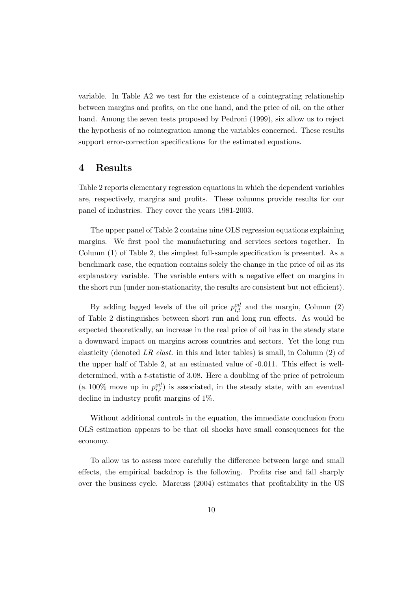variable. In Table A2 we test for the existence of a cointegrating relationship between margins and profits, on the one hand, and the price of oil, on the other hand. Among the seven tests proposed by Pedroni (1999), six allow us to reject the hypothesis of no cointegration among the variables concerned. These results support error-correction specifications for the estimated equations.

#### 4 Results

Table 2 reports elementary regression equations in which the dependent variables are, respectively, margins and profits. These columns provide results for our panel of industries. They cover the years 1981-2003.

The upper panel of Table 2 contains nine OLS regression equations explaining margins. We first pool the manufacturing and services sectors together. In Column (1) of Table 2, the simplest full-sample specification is presented. As a benchmark case, the equation contains solely the change in the price of oil as its explanatory variable. The variable enters with a negative effect on margins in the short run (under non-stationarity, the results are consistent but not efficient).

By adding lagged levels of the oil price  $p_{i,t}^{oil}$  and the margin, Column (2) of Table 2 distinguishes between short run and long run effects. As would be expected theoretically, an increase in the real price of oil has in the steady state a downward impact on margins across countries and sectors. Yet the long run elasticity (denoted LR elast. in this and later tables) is small, in Column  $(2)$  of the upper half of Table 2, at an estimated value of -0.011. This effect is welldetermined, with a t-statistic of 3.08. Here a doubling of the price of petroleum (a 100% move up in  $p_{i,t}^{oil}$ ) is associated, in the steady state, with an eventual decline in industry profit margins of 1%.

Without additional controls in the equation, the immediate conclusion from OLS estimation appears to be that oil shocks have small consequences for the economy.

To allow us to assess more carefully the difference between large and small effects, the empirical backdrop is the following. Profits rise and fall sharply over the business cycle. Marcuss (2004) estimates that profitability in the US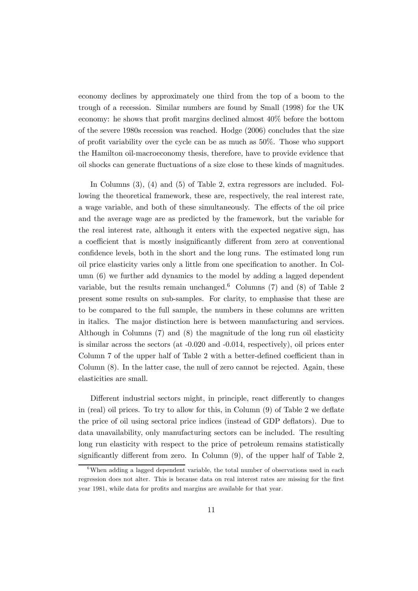economy declines by approximately one third from the top of a boom to the trough of a recession. Similar numbers are found by Small (1998) for the UK economy: he shows that profit margins declined almost 40% before the bottom of the severe 1980s recession was reached. Hodge (2006) concludes that the size of profit variability over the cycle can be as much as 50%. Those who support the Hamilton oil-macroeconomy thesis, therefore, have to provide evidence that oil shocks can generate fluctuations of a size close to these kinds of magnitudes.

In Columns (3), (4) and (5) of Table 2, extra regressors are included. Following the theoretical framework, these are, respectively, the real interest rate, a wage variable, and both of these simultaneously. The effects of the oil price and the average wage are as predicted by the framework, but the variable for the real interest rate, although it enters with the expected negative sign, has a coefficient that is mostly insignificantly different from zero at conventional confidence levels, both in the short and the long runs. The estimated long run oil price elasticity varies only a little from one specification to another. In Column (6) we further add dynamics to the model by adding a lagged dependent variable, but the results remain unchanged.<sup>6</sup> Columns (7) and (8) of Table 2 present some results on sub-samples. For clarity, to emphasise that these are to be compared to the full sample, the numbers in these columns are written in italics. The major distinction here is between manufacturing and services. Although in Columns (7) and (8) the magnitude of the long run oil elasticity is similar across the sectors (at -0.020 and -0.014, respectively), oil prices enter Column 7 of the upper half of Table 2 with a better-defined coefficient than in Column  $(8)$ . In the latter case, the null of zero cannot be rejected. Again, these elasticities are small.

Different industrial sectors might, in principle, react differently to changes in (real) oil prices. To try to allow for this, in Column (9) of Table 2 we deflate the price of oil using sectoral price indices (instead of GDP deflators). Due to data unavailability, only manufacturing sectors can be included. The resulting long run elasticity with respect to the price of petroleum remains statistically significantly different from zero. In Column (9), of the upper half of Table 2,

 $6$ When adding a lagged dependent variable, the total number of observations used in each regression does not alter. This is because data on real interest rates are missing for the first year 1981, while data for profits and margins are available for that year.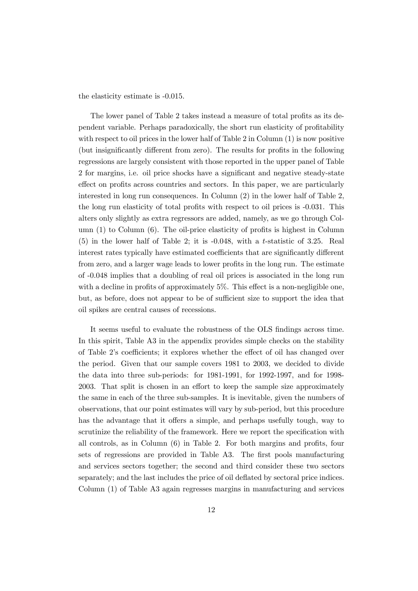the elasticity estimate is -0.015.

The lower panel of Table 2 takes instead a measure of total profits as its dependent variable. Perhaps paradoxically, the short run elasticity of profitability with respect to oil prices in the lower half of Table 2 in Column (1) is now positive (but insignificantly different from zero). The results for profits in the following regressions are largely consistent with those reported in the upper panel of Table 2 for margins, i.e. oil price shocks have a significant and negative steady-state effect on profits across countries and sectors. In this paper, we are particularly interested in long run consequences. In Column (2) in the lower half of Table 2, the long run elasticity of total profits with respect to oil prices is -0.031. This alters only slightly as extra regressors are added, namely, as we go through Column (1) to Column (6). The oil-price elasticity of profits is highest in Column (5) in the lower half of Table 2; it is -0.048, with a t-statistic of 3.25. Real interest rates typically have estimated coefficients that are significantly different from zero, and a larger wage leads to lower profits in the long run. The estimate of -0.048 implies that a doubling of real oil prices is associated in the long run with a decline in profits of approximately 5%. This effect is a non-negligible one, but, as before, does not appear to be of sufficient size to support the idea that oil spikes are central causes of recessions.

It seems useful to evaluate the robustness of the OLS findings across time. In this spirit, Table A3 in the appendix provides simple checks on the stability of Table 2's coefficients; it explores whether the effect of oil has changed over the period. Given that our sample covers 1981 to 2003, we decided to divide the data into three sub-periods: for 1981-1991, for 1992-1997, and for 1998- 2003. That split is chosen in an effort to keep the sample size approximately the same in each of the three sub-samples. It is inevitable, given the numbers of observations, that our point estimates will vary by sub-period, but this procedure has the advantage that it offers a simple, and perhaps usefully tough, way to scrutinize the reliability of the framework. Here we report the specification with all controls, as in Column (6) in Table 2. For both margins and profits, four sets of regressions are provided in Table A3. The first pools manufacturing and services sectors together; the second and third consider these two sectors separately; and the last includes the price of oil deflated by sectoral price indices. Column (1) of Table A3 again regresses margins in manufacturing and services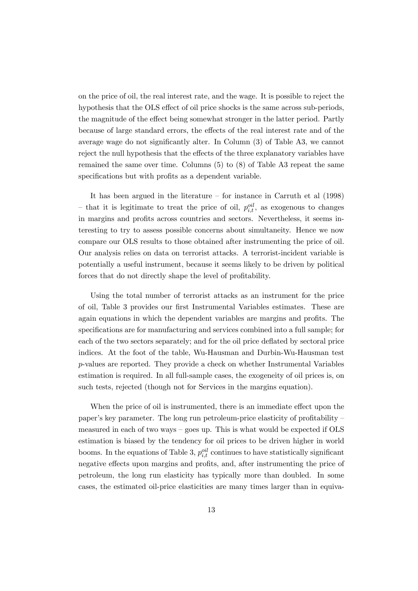on the price of oil, the real interest rate, and the wage. It is possible to reject the hypothesis that the OLS effect of oil price shocks is the same across sub-periods, the magnitude of the effect being somewhat stronger in the latter period. Partly because of large standard errors, the effects of the real interest rate and of the average wage do not significantly alter. In Column (3) of Table A3, we cannot reject the null hypothesis that the effects of the three explanatory variables have remained the same over time. Columns (5) to (8) of Table A3 repeat the same specifications but with profits as a dependent variable.

It has been argued in the literature — for instance in Carruth et al (1998) – that it is legitimate to treat the price of oil,  $p_{i,t}^{oil}$ , as exogenous to changes in margins and profits across countries and sectors. Nevertheless, it seems interesting to try to assess possible concerns about simultaneity. Hence we now compare our OLS results to those obtained after instrumenting the price of oil. Our analysis relies on data on terrorist attacks. A terrorist-incident variable is potentially a useful instrument, because it seems likely to be driven by political forces that do not directly shape the level of profitability.

Using the total number of terrorist attacks as an instrument for the price of oil, Table 3 provides our first Instrumental Variables estimates. These are again equations in which the dependent variables are margins and profits. The specifications are for manufacturing and services combined into a full sample; for each of the two sectors separately; and for the oil price deflated by sectoral price indices. At the foot of the table, Wu-Hausman and Durbin-Wu-Hausman test p-values are reported. They provide a check on whether Instrumental Variables estimation is required. In all full-sample cases, the exogeneity of oil prices is, on such tests, rejected (though not for Services in the margins equation).

When the price of oil is instrumented, there is an immediate effect upon the paper's key parameter. The long run petroleum-price elasticity of profitability measured in each of two ways — goes up. This is what would be expected if OLS estimation is biased by the tendency for oil prices to be driven higher in world booms. In the equations of Table 3,  $p_{i,t}^{oil}$  continues to have statistically significant negative effects upon margins and profits, and, after instrumenting the price of petroleum, the long run elasticity has typically more than doubled. In some cases, the estimated oil-price elasticities are many times larger than in equiva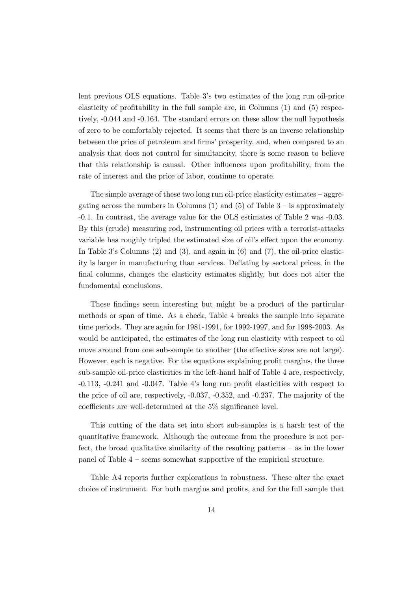lent previous OLS equations. Table 3's two estimates of the long run oil-price elasticity of profitability in the full sample are, in Columns (1) and (5) respectively, -0.044 and -0.164. The standard errors on these allow the null hypothesis of zero to be comfortably rejected. It seems that there is an inverse relationship between the price of petroleum and firms' prosperity, and, when compared to an analysis that does not control for simultaneity, there is some reason to believe that this relationship is causal. Other influences upon profitability, from the rate of interest and the price of labor, continue to operate.

The simple average of these two long run oil-price elasticity estimates  $-$  aggregating across the numbers in Columns  $(1)$  and  $(5)$  of Table 3 – is approximately -0.1. In contrast, the average value for the OLS estimates of Table 2 was -0.03. By this (crude) measuring rod, instrumenting oil prices with a terrorist-attacks variable has roughly tripled the estimated size of oil's effect upon the economy. In Table 3's Columns (2) and (3), and again in (6) and (7), the oil-price elasticity is larger in manufacturing than services. Deflating by sectoral prices, in the final columns, changes the elasticity estimates slightly, but does not alter the fundamental conclusions.

These findings seem interesting but might be a product of the particular methods or span of time. As a check, Table 4 breaks the sample into separate time periods. They are again for 1981-1991, for 1992-1997, and for 1998-2003. As would be anticipated, the estimates of the long run elasticity with respect to oil move around from one sub-sample to another (the effective sizes are not large). However, each is negative. For the equations explaining profit margins, the three sub-sample oil-price elasticities in the left-hand half of Table 4 are, respectively, -0.113, -0.241 and -0.047. Table 4's long run profit elasticities with respect to the price of oil are, respectively, -0.037, -0.352, and -0.237. The majority of the coefficients are well-determined at the 5% significance level.

This cutting of the data set into short sub-samples is a harsh test of the quantitative framework. Although the outcome from the procedure is not perfect, the broad qualitative similarity of the resulting patterns — as in the lower panel of Table 4 — seems somewhat supportive of the empirical structure.

Table A4 reports further explorations in robustness. These alter the exact choice of instrument. For both margins and profits, and for the full sample that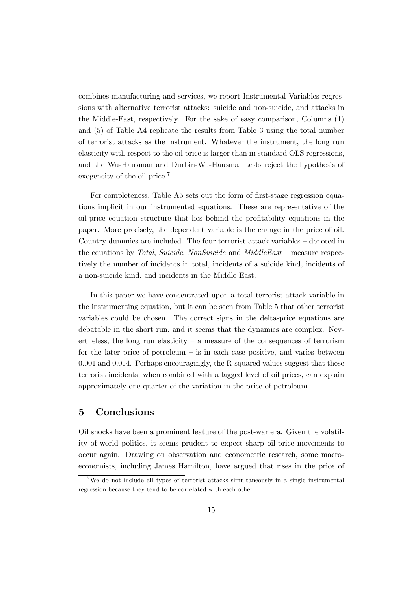combines manufacturing and services, we report Instrumental Variables regressions with alternative terrorist attacks: suicide and non-suicide, and attacks in the Middle-East, respectively. For the sake of easy comparison, Columns (1) and (5) of Table A4 replicate the results from Table 3 using the total number of terrorist attacks as the instrument. Whatever the instrument, the long run elasticity with respect to the oil price is larger than in standard OLS regressions, and the Wu-Hausman and Durbin-Wu-Hausman tests reject the hypothesis of exogeneity of the oil price.<sup>7</sup>

For completeness, Table A5 sets out the form of first-stage regression equations implicit in our instrumented equations. These are representative of the oil-price equation structure that lies behind the profitability equations in the paper. More precisely, the dependent variable is the change in the price of oil. Country dummies are included. The four terrorist-attack variables — denoted in the equations by Total, Suicide, NonSuicide and  $MidleEast$  – measure respectively the number of incidents in total, incidents of a suicide kind, incidents of a non-suicide kind, and incidents in the Middle East.

In this paper we have concentrated upon a total terrorist-attack variable in the instrumenting equation, but it can be seen from Table 5 that other terrorist variables could be chosen. The correct signs in the delta-price equations are debatable in the short run, and it seems that the dynamics are complex. Nevertheless, the long run elasticity  $-$  a measure of the consequences of terrorism for the later price of petroleum  $-$  is in each case positive, and varies between 0.001 and 0.014. Perhaps encouragingly, the R-squared values suggest that these terrorist incidents, when combined with a lagged level of oil prices, can explain approximately one quarter of the variation in the price of petroleum.

### 5 Conclusions

Oil shocks have been a prominent feature of the post-war era. Given the volatility of world politics, it seems prudent to expect sharp oil-price movements to occur again. Drawing on observation and econometric research, some macroeconomists, including James Hamilton, have argued that rises in the price of

<sup>&</sup>lt;sup>7</sup>We do not include all types of terrorist attacks simultaneously in a single instrumental regression because they tend to be correlated with each other.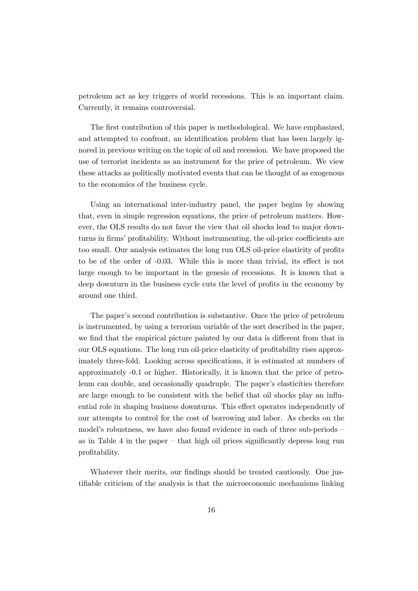petroleum act as key triggers of world recessions. This is an important claim. Currently, it remains controversial.

The first contribution of this paper is methodological. We have emphasized, and attempted to confront, an identification problem that has been largely ignored in previous writing on the topic of oil and recession. We have proposed the use of terrorist incidents as an instrument for the price of petroleum. We view these attacks as politically motivated events that can be thought of as exogenous to the economics of the business cycle.

Using an international inter-industry panel, the paper begins by showing that, even in simple regression equations, the price of petroleum matters. However, the OLS results do not favor the view that oil shocks lead to major downturns in firms' profitability. Without instrumenting, the oil-price coefficients are too small. Our analysis estimates the long run OLS oil-price elasticity of profits to be of the order of -0.03. While this is more than trivial, its effect is not large enough to be important in the genesis of recessions. It is known that a deep downturn in the business cycle cuts the level of profits in the economy by around one third.

The paper's second contribution is substantive. Once the price of petroleum is instrumented, by using a terrorism variable of the sort described in the paper, we find that the empirical picture painted by our data is different from that in our OLS equations. The long run oil-price elasticity of profitability rises approximately three-fold. Looking across specifications, it is estimated at numbers of approximately -0.1 or higher. Historically, it is known that the price of petroleum can double, and occasionally quadruple. The paper's elasticities therefore are large enough to be consistent with the belief that oil shocks play an influential role in shaping business downturns. This effect operates independently of our attempts to control for the cost of borrowing and labor. As checks on the model's robustness, we have also found evidence in each of three sub-periods as in Table 4 in the paper — that high oil prices significantly depress long run profitability.

Whatever their merits, our findings should be treated cautiously. One justifiable criticism of the analysis is that the microeconomic mechanisms linking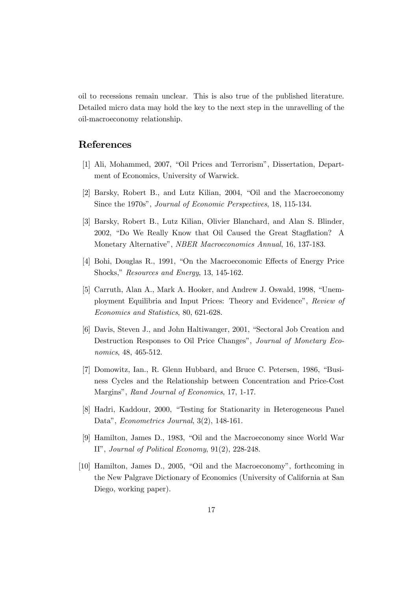oil to recessions remain unclear. This is also true of the published literature. Detailed micro data may hold the key to the next step in the unravelling of the oil-macroeconomy relationship.

#### References

- [1] Ali, Mohammed, 2007, "Oil Prices and Terrorism", Dissertation, Department of Economics, University of Warwick.
- [2] Barsky, Robert B., and Lutz Kilian, 2004, "Oil and the Macroeconomy Since the 1970s", Journal of Economic Perspectives, 18, 115-134.
- [3] Barsky, Robert B., Lutz Kilian, Olivier Blanchard, and Alan S. Blinder, 2002, "Do We Really Know that Oil Caused the Great Stagflation? A Monetary Alternative", NBER Macroeconomics Annual, 16, 137-183.
- [4] Bohi, Douglas R., 1991, "On the Macroeconomic Effects of Energy Price Shocks," Resources and Energy, 13, 145-162.
- [5] Carruth, Alan A., Mark A. Hooker, and Andrew J. Oswald, 1998, "Unemployment Equilibria and Input Prices: Theory and Evidence", Review of Economics and Statistics, 80, 621-628.
- [6] Davis, Steven J., and John Haltiwanger, 2001, "Sectoral Job Creation and Destruction Responses to Oil Price Changes", Journal of Monetary Economics, 48, 465-512.
- [7] Domowitz, Ian., R. Glenn Hubbard, and Bruce C. Petersen, 1986, "Business Cycles and the Relationship between Concentration and Price-Cost Margins", Rand Journal of Economics, 17, 1-17.
- [8] Hadri, Kaddour, 2000, "Testing for Stationarity in Heterogeneous Panel Data", Econometrics Journal, 3(2), 148-161.
- [9] Hamilton, James D., 1983, "Oil and the Macroeconomy since World War II", Journal of Political Economy, 91(2), 228-248.
- [10] Hamilton, James D., 2005, "Oil and the Macroeconomy", forthcoming in the New Palgrave Dictionary of Economics (University of California at San Diego, working paper).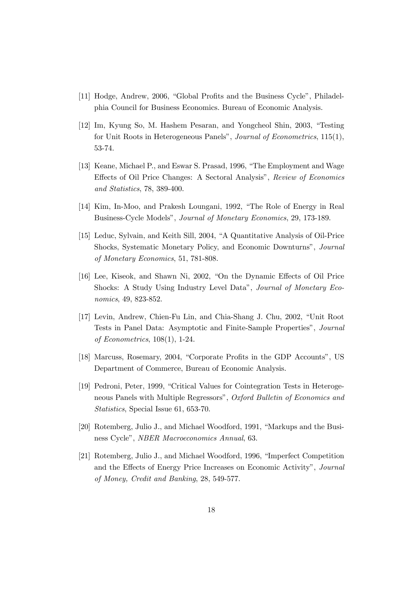- [11] Hodge, Andrew, 2006, "Global Profits and the Business Cycle", Philadelphia Council for Business Economics. Bureau of Economic Analysis.
- [12] Im, Kyung So, M. Hashem Pesaran, and Yongcheol Shin, 2003, "Testing for Unit Roots in Heterogeneous Panels", Journal of Econometrics, 115(1), 53-74.
- [13] Keane, Michael P., and Eswar S. Prasad, 1996, "The Employment and Wage Effects of Oil Price Changes: A Sectoral Analysis", Review of Economics and Statistics, 78, 389-400.
- [14] Kim, In-Moo, and Prakesh Loungani, 1992, "The Role of Energy in Real Business-Cycle Models", Journal of Monetary Economics, 29, 173-189.
- [15] Leduc, Sylvain, and Keith Sill, 2004, "A Quantitative Analysis of Oil-Price Shocks, Systematic Monetary Policy, and Economic Downturns", Journal of Monetary Economics, 51, 781-808.
- [16] Lee, Kiseok, and Shawn Ni, 2002, "On the Dynamic Effects of Oil Price Shocks: A Study Using Industry Level Data", Journal of Monetary Economics, 49, 823-852.
- [17] Levin, Andrew, Chien-Fu Lin, and Chia-Shang J. Chu, 2002, "Unit Root Tests in Panel Data: Asymptotic and Finite-Sample Properties", Journal of Econometrics, 108(1), 1-24.
- [18] Marcuss, Rosemary, 2004, "Corporate Profits in the GDP Accounts", US Department of Commerce, Bureau of Economic Analysis.
- [19] Pedroni, Peter, 1999, "Critical Values for Cointegration Tests in Heterogeneous Panels with Multiple Regressors", Oxford Bulletin of Economics and Statistics, Special Issue 61, 653-70.
- [20] Rotemberg, Julio J., and Michael Woodford, 1991, "Markups and the Business Cycle", NBER Macroeconomics Annual, 63.
- [21] Rotemberg, Julio J., and Michael Woodford, 1996, "Imperfect Competition and the Effects of Energy Price Increases on Economic Activity", Journal of Money, Credit and Banking, 28, 549-577.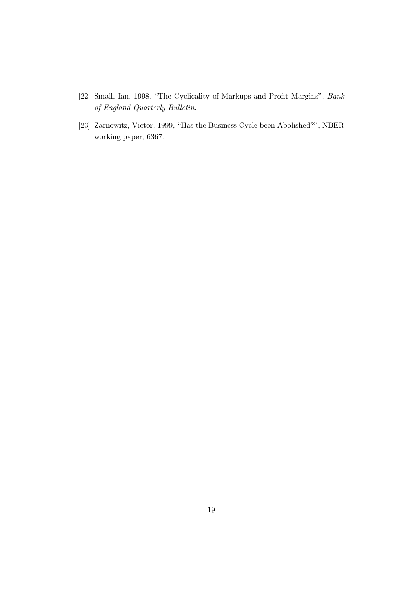- [22] Small, Ian, 1998, "The Cyclicality of Markups and Profit Margins", Bank of England Quarterly Bulletin.
- [23] Zarnowitz, Victor, 1999, "Has the Business Cycle been Abolished?", NBER working paper, 6367.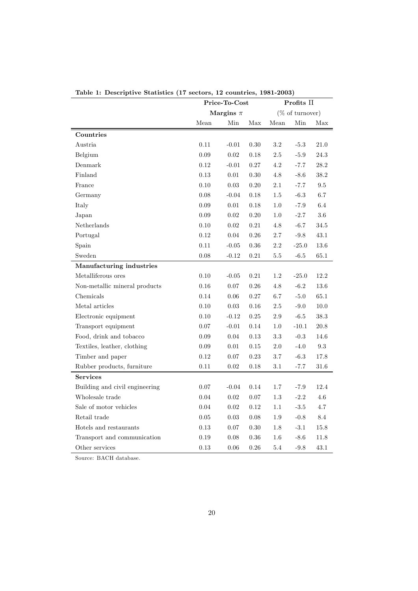|                                |          | Price-To-Cost |          | Profits $\Pi$ |                            |                 |  |
|--------------------------------|----------|---------------|----------|---------------|----------------------------|-----------------|--|
|                                |          | Margins $\pi$ |          |               | $(\% \text{ of turnover})$ |                 |  |
|                                | Mean     | Min           | Max      | Mean          | Min                        | Max             |  |
| Countries                      |          |               |          |               |                            |                 |  |
| Austria                        | 0.11     | $-0.01$       | 0.30     | $3.2\,$       | $-5.3$                     | 21.0            |  |
| Belgium                        | 0.09     | $\rm 0.02$    | 0.18     | 2.5           | $-5.9$                     | 24.3            |  |
| Denmark                        | 0.12     | $-0.01$       | 0.27     | 4.2           | $-7.7$                     | 28.2            |  |
| Finland                        | $0.13\,$ | $0.01\,$      | 0.30     | $4.8\,$       | $-8.6$                     | $38.2\,$        |  |
| France                         | 0.10     | 0.03          | 0.20     | 2.1           | $-7.7$                     | $\ \, 9.5$      |  |
| Germany                        | 0.08     | $-0.04$       | 0.18     | $1.5\,$       | $-6.3$                     | 6.7             |  |
| Italy                          | 0.09     | 0.01          | 0.18     | 1.0           | $-7.9$                     | $6.4\,$         |  |
| Japan                          | 0.09     | 0.02          | 0.20     | 1.0           | $-2.7$                     | 3.6             |  |
| Netherlands                    | $0.10\,$ | $0.02\,$      | 0.21     | 4.8           | $-6.7$                     | 34.5            |  |
| Portugal                       | 0.12     | 0.04          | $0.26\,$ | 2.7           | $-9.8$                     | 43.1            |  |
| Spain                          | $0.11\,$ | $-0.05$       | 0.36     | $2.2\,$       | $-25.0$                    | 13.6            |  |
| Sweden                         | $0.08\,$ | $-0.12$       | 0.21     | 5.5           | $-6.5$                     | 65.1            |  |
| Manufacturing industries       |          |               |          |               |                            |                 |  |
| Metalliferous ores             | 0.10     | $-0.05$       | 0.21     | $1.2\,$       | $-25.0$                    | 12.2            |  |
| Non-metallic mineral products  | 0.16     | 0.07          | $0.26\,$ | 4.8           | $-6.2$                     | 13.6            |  |
| Chemicals                      | 0.14     | 0.06          | 0.27     | 6.7           | $-5.0$                     | 65.1            |  |
| Metal articles                 | 0.10     | 0.03          | 0.16     | $2.5\,$       | $-9.0$                     | 10.0            |  |
| Electronic equipment           | $0.10\,$ | $-0.12$       | $0.25\,$ | $2.9\,$       | $-6.5$                     | $38.3\,$        |  |
| Transport equipment            | 0.07     | $-0.01$       | 0.14     | 1.0           | $-10.1$                    | 20.8            |  |
| Food, drink and tobacco        | 0.09     | 0.04          | 0.13     | $\!3.3$       | $-0.3$                     | $14.6\,$        |  |
| Textiles, leather, clothing    | 0.09     | $0.01\,$      | 0.15     | 2.0           | $-4.0$                     | $\rm 9.3$       |  |
| Timber and paper               | 0.12     | 0.07          | 0.23     | $3.7\,$       | $-6.3$                     | 17.8            |  |
| Rubber products, furniture     | 0.11     | 0.02          | 0.18     | $3.1\,$       | $-7.7$                     | 31.6            |  |
| <b>Services</b>                |          |               |          |               |                            |                 |  |
| Building and civil engineering | 0.07     | $-0.04$       | 0.14     | 1.7           | $-7.9$                     | 12.4            |  |
| Wholesale trade                | 0.04     | 0.02          | $0.07\,$ | $1.3\,$       | $-2.2$                     | $4.6\,$         |  |
| Sale of motor vehicles         | 0.04     | 0.02          | 0.12     | 1.1           | $-3.5$                     | 4.7             |  |
| Retail trade                   | 0.05     | 0.03          | 0.08     | 1.9           | $-0.8$                     | $\!\!\!\!\!8.4$ |  |
| Hotels and restaurants         | 0.13     | 0.07          | 0.30     | 1.8           | $-3.1$                     | 15.8            |  |
| Transport and communication    | 0.19     | 0.08          | 0.36     | $1.6\,$       | $-8.6$                     | 11.8            |  |
| Other services                 | 0.13     | 0.06          | 0.26     | 5.4           | $-9.8$                     | 43.1            |  |

Table 1: Descriptive Statistics (17 sectors, 12 countries, 1981-2003)

Source: BACH database.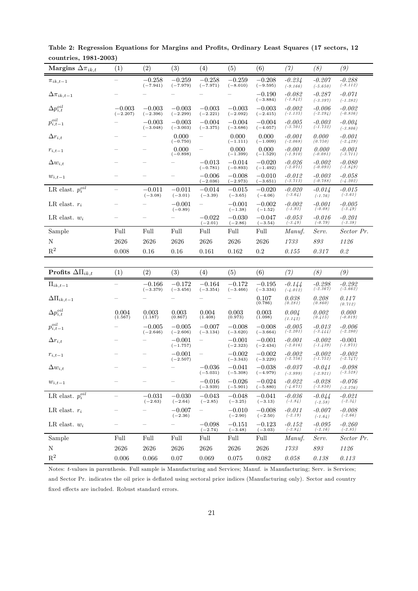| Margins $\Delta \pi_{ik,t}$  | (1)                    | (2)                    | (3)                    | (4)                      | (5)                    | (6)                    | (7)                     | (8)                    | (9)                      |
|------------------------------|------------------------|------------------------|------------------------|--------------------------|------------------------|------------------------|-------------------------|------------------------|--------------------------|
| $\pi_{ik,t-1}$               |                        | $-0.258$<br>$(-7.941)$ | $-0.259$<br>$(-7.979)$ | $-0.258$<br>$(-7.971)$   | $-0.259$<br>$(-8.010)$ | $-0.208$<br>$(-9.595)$ | $-0.234$<br>$(-9.166)$  | $-0.207$<br>$(-5.650)$ | $-0.288$<br>$(-8.112)$   |
| $\Delta \pi_{ik,t-1}$        |                        |                        |                        |                          |                        | $-0.190$<br>$(-3.884)$ | $-0.082$<br>$(-1.842)$  | $-0.287$<br>$(-3.397)$ | $-0.071$<br>$(-1.282)$   |
| $\Delta p_{i,t}^{oil}$       | $-0.003$<br>$(-2.207)$ | $-0.003$<br>$(-2.396)$ | $-0.003$<br>$(-2.299)$ | $-0.003$<br>$(-2.221)$   | $-0.003$<br>$(-2.092)$ | $-0.003$<br>$(-2.415)$ | $-0.002$<br>$(-1.135)$  | $-0.006$<br>$(-2.294)$ | $-0.002$<br>$(-0.836)$   |
| $p_{i,t-1}^{oil}$            |                        | $-0.003$<br>$(-3.048)$ | $-0.003$<br>$(-3.003)$ | $-0.004$<br>$(-3.375)$   | $-0.004$<br>$(-3.686)$ | $-0.004$<br>$(-4.057)$ | $-0.005$<br>$(-3.701)$  | $-0.003$<br>$(-1.732)$ | $-0.004$<br>$(-3.806)$   |
| $\Delta r_{i,t}$             |                        |                        | 0.000<br>$(-0.750)$    |                          | 0.000<br>$(-1.111)$    | 0.000<br>$(-1.009)$    | $-0.001$<br>$(-2.068)$  | 0.000<br>(0.750)       | $-0.001$<br>$(-2.429)$   |
| $r_{i,t-1}$                  |                        |                        | 0.000<br>$(-0.898)$    |                          | 0.000<br>$(-1.399)$    | 0.000<br>$(-1.529)$    | $-0.001$<br>$(-1.910)$  | 0.000<br>$(-0.081)$    | $-0.001$<br>$(-3.711)$   |
| $\Delta w_{i,t}$             |                        |                        |                        | $-0.013\,$<br>$(-0.781)$ | $-0.014$<br>$(-0.893)$ | $-0.020$<br>$(-1.492)$ | $-0.026$<br>$(-2.071)$  | $-0.002$<br>$(-0.093)$ | $-0.080\,$<br>$(-1.849)$ |
| $w_{i,t-1}$                  |                        |                        |                        | $-0.006$<br>$(-2.036)$   | $-0.008$<br>$(-2.973)$ | $-0.010$<br>$(-3.651)$ | $-0.012$<br>$(-3.713)$  | $-0.003$<br>$(-0.788)$ | $-0.058$<br>$(-4.202)$   |
| LR elast. $p_i^{\tiny oil}$  |                        | $-0.011$<br>$(-3.08)$  | $-0.011$<br>$(-3.01)$  | $-0.014$<br>$(-3.39)$    | $-0.015$<br>$(-3.65)$  | $-0.020$<br>$(-4.06)$  | $-0.020\,$<br>$(-3.64)$ | $-0.014$<br>$(-1.76)$  | $-0.015$<br>$(-3.61)$    |
| LR elast. $r_i$              |                        |                        | $-0.001$<br>$(-0.89)$  |                          | $-0.001$<br>$(-1.38)$  | $-0.002$<br>$(-1.52)$  | $-0.002$<br>$(-1.93)$   | $-0.001$<br>$(-0.08)$  | $-0.005$<br>$(-3.49)$    |
| LR elast. $w_i$              |                        |                        |                        | $-0.022\,$<br>$(-2.01)$  | $-0.030$<br>$(-2.86)$  | $-0.047$<br>$(-3.54)$  | $-0.053$<br>$(-3.49)$   | $-0.016$<br>$(-0.79)$  | $-0.201$<br>$(-3.38)$    |
| Sample                       | Full                   | Full                   | Full                   | Full                     | Full                   | Full                   | Manuf.                  | Serv.                  | Sector Pr.               |
| $\mathbf N$                  | 2626                   | 2626                   | 2626                   | 2626                     | 2626                   | 2626                   | 1733                    | 893                    | 1126                     |
| $\mathbf{R}^2$               | 0.008                  | 0.16                   | 0.16                   | 0.161                    | 0.162                  | 0.2                    | 0.155                   | 0.317                  | $0.2\,$                  |
|                              |                        |                        |                        |                          |                        |                        |                         |                        |                          |
| Profits $\Delta\Pi_{ik,t}$   | (1)                    | (2)                    | (3)                    | (4)                      | (5)                    | (6)                    | (7)                     | (8)                    | (9)                      |
| $\Pi_{ik,t-1}$               |                        | $-0.166$<br>$(-3.379)$ | $-0.172$<br>$(-3.456)$ | $-0.164$<br>$(-3.354)$   | $-0.172$<br>$(-3.466)$ | $-0.195$<br>$(-3.334)$ | $-0.144$<br>$(-4.012)$  | $-0.298$<br>$(-2.367)$ | $-0.292$<br>$(-5.662)$   |
| $\Delta\Pi_{ik,t-1}$         |                        |                        |                        |                          |                        | 0.107<br>(0.786)       | 0.038<br>(0.281)        | 0.208<br>(0.860)       | 0.117<br>(0.712)         |
| $\Delta p_{i,t}^{oil}$       | 0.004<br>(1.567)       | 0.003<br>(1.187)       | 0.003<br>(0.867)       | 0.004<br>(1.408)         | 0.003<br>(0.973)       | 0.003<br>(1.098)       | 0.004<br>(1.142)        | 0.002<br>(0.415)       | 0.000<br>$(-0.019)$      |
| $p_{i,t-1}^{\mathit{oil}}$   |                        | $-0.005$<br>$(-2.646)$ | $-0.005$<br>$(-2.606)$ | $-0.007$<br>$(-3.134)$   | $-0.008$<br>$(-3.620)$ | $-0.008$<br>$(-3.664)$ | $-0.005$<br>$(-2.201)$  | $-0.013$<br>$(-3.444)$ | $-0.006$<br>$(-2.280)$   |
| $\Delta r_{i,t}$             |                        |                        | $-0.001$<br>$(-1.757)$ |                          | $-0.001$<br>$(-2.323)$ | $-0.001$<br>$(-2.434)$ | $-0.001$<br>$(-2.016)$  | $-0.002$<br>$(-1.439)$ | $-0.001$<br>$(-1.973)$   |
| $r_{i,t-1}$                  |                        |                        | $-0.001$<br>$(-2.507)$ |                          | $-0.002$<br>$(-3.343)$ | $-0.002$<br>$(-3.229)$ | $-0.002$<br>$(-2.756)$  | $-0.002$<br>$(-1.752)$ | $-0.002$<br>$(-2.747)$   |
| $\Delta w_{i,t}$             |                        |                        |                        | $-0.036$<br>$(-5.031)$   | $-0.041$<br>$(-5.308)$ | $-0.038$<br>$(-4.979)$ | $-0.037$<br>$(-3.999)$  | $-0.041$<br>$(-2.921)$ | $-0.098$<br>$(-3.528)$   |
| $w_{i,t-1}$                  |                        |                        |                        | $-0.016$<br>$(-3.939)$   | $-0.026$<br>$(-5.901)$ | $-0.024$<br>$(-5.880)$ | $-0.022$<br>$(-4.673)$  | $-0.028$<br>$(-3.850)$ | $-0.076$<br>$(-3.276)$   |
| LR elast. $p_i^{\tiny oil}$  |                        | $-0.031$<br>$(-2.63)$  | $-0.030$<br>$(-2.64)$  | $-0.043$<br>$(-2.85)$    | $-0.048$<br>$(-3.25)$  | $-0.041$<br>$(-3.13)$  | $-0.036$<br>$(-1.84)$   | $-0.044$<br>$(-2.58)$  | $-0.021$<br>$(-2.34)$    |
| LR elast. $r_i$              |                        |                        | $-0.007$<br>$(-2.36)$  |                          | $-0.010$<br>$(-2.90)$  | $-0.008$<br>$(-2.50)$  | $-0.011$<br>$(-2.19)$   | $-0.007$<br>$(-1.64)$  | $-0.008$<br>$(-2.66)$    |
| LR elast. $\boldsymbol{w}_i$ |                        |                        |                        | $-0.098$<br>$(-2.74)$    | $-0.151$<br>$(-3.48)$  | $-0.123$<br>$(-3.03)$  | $-0.152$<br>$(-2.84)$   | $-0.095$<br>$(-2.16)$  | $-0.260$<br>$(-2.85)$    |
| Sample                       | Full                   | Full                   | Full                   | Full                     | Full                   | Full                   | Manuf.                  | Serv.                  | Sector Pr.               |
| N                            |                        |                        |                        |                          |                        |                        |                         |                        |                          |
| $\mathbf{R}^2$               | $2626\,$               | 2626                   | 2626                   | $2626\,$                 | $2626\,$               | 2626                   | 1733                    | $\mathcal{S}93$        | $1126\,$                 |

Table 2: Regression Equations for Margins and Profits, Ordinary Least Squares (17 sectors, 12 countries, 1981-2003)

Notes: t-values in parenthesis. Full sample is Manufacturing and Services; Manuf. is Manufacturing; Serv. is Services; and Sector Pr. indicates the oil price is deflated using sectoral price indices (Manufacturing only). Sector and country fixed effects are included. Robust standard errors.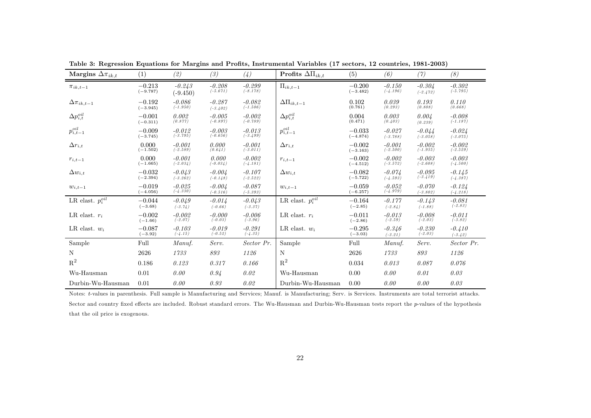| Margins $\Delta \pi_{ik,t}$ | (1)                    | (2)                    | (3)                    | (4)                    | Profits $\Delta\Pi_{ik,t}$ | (5)                    | (6)                    | (7)                    | (8)                    |
|-----------------------------|------------------------|------------------------|------------------------|------------------------|----------------------------|------------------------|------------------------|------------------------|------------------------|
| $\pi_{ik,t-1}$              | $-0.213$<br>$(-9.787)$ | $-0.243$<br>$(-9.450)$ | $-0.208$<br>$(-5.671)$ | $-0.299$<br>$(-8.178)$ | $\Pi_{ik,t-1}$             | $-0.200$<br>$(-3.482)$ | $-0.150$<br>$(-4.196)$ | $-0.304$<br>$(-2.472)$ | $-0.302$<br>$(-5.795)$ |
| $\Delta \pi_{ik,t-1}$       | $-0.192$<br>$(-3.945)$ | $-0.086$<br>$(-1.950)$ | $-0.287$<br>$(-3.402)$ | $-0.082$<br>$(-1.506)$ | $\Delta\Pi_{ik,t-1}$       | 0.102<br>(0.761)       | 0.039<br>(0.293)       | 0.193<br>(0.808)       | 0.110<br>(0.668)       |
| $\Delta p_{i,t}^{oil}$      | $-0.001$<br>$(-0.311)$ | 0.002<br>(0.877)       | $-0.005$<br>$(-0.897)$ | $-0.002$<br>$(-0.789)$ | $\Delta p_{i,t}^{oil}$     | 0.004<br>(0.471)       | 0.003<br>(0.403)       | 0.004<br>(0.239)       | $-0.008$<br>$(-1.187)$ |
| $p_{i,t-1}^{oil}$           | $-0.009$<br>$(-3.745)$ | $-0.012$<br>$(-3.795)$ | $-0.003$<br>$(-0.656)$ | $-0.013$<br>$(-3.499)$ | $p_{i,t-1}^{oil}$          | $-0.033$<br>$(-4.874)$ | $-0.027$<br>$(-3.788)$ | $-0.044$<br>$(-3.058)$ | $-0.024$<br>$(-3.075)$ |
| $\Delta r_{i,t}$            | 0.000<br>$(-1.502)$    | $-0.001$<br>$(-2.589)$ | 0.000<br>(0.641)       | $-0.001$<br>$(-3.011)$ | $\Delta r_{i,t}$           | $-0.002$<br>$(-3.163)$ | $-0.001$<br>$(-2.500)$ | $-0.002$<br>$(-1.935)$ | $-0.002$<br>$(-2.529)$ |
| $r_{i,t-1}$                 | 0.000<br>$(-1.665)$    | $-0.001$<br>$(-2.034)$ | 0.000<br>$(-0.034)$    | $-0.002$<br>$(-4.181)$ | $r_{i,t-1}$                | $-0.002$<br>$(-4.512)$ | $-0.002$<br>$(-3.572)$ | $-0.003$<br>$(-2.608)$ | $-0.003$<br>$(-4.500)$ |
| $\Delta w_{i,t}$            | $-0.032$<br>$(-2.394)$ | $-0.043$<br>$(-3.262)$ | $-0.004$<br>$(-0.148)$ | $-0.107$<br>$(-2.522)$ | $\Delta w_{i,t}$           | $-0.082$<br>$(-5.722)$ | $-0.074$<br>$(-4.593)$ | $-0.095$<br>$(-3.419)$ | $-0.145$<br>$(-4.387)$ |
| $w_{i,t-1}$                 | $-0.019$<br>$(-4.056)$ | $-0.025$<br>$(-4.330)$ | $-0.004$<br>$(-0.516)$ | $-0.087$<br>$(-5.393)$ | $w_{i,t-1}$                | $-0.059$<br>$(-6.257)$ | $-0.052$<br>$(-4.979)$ | $-0.070$<br>$(-3.802)$ | $-0.124$<br>$(-4.218)$ |
| LR elast. $p_i^{oil}$       | $-0.044$<br>$(-3.68)$  | $-0.049$<br>$(-3.74)$  | $-0.014$<br>$(-0.66)$  | $-0.043$<br>$(-3.37)$  | LR elast. $p_i^{oil}$      | $-0.164$<br>$(-2.85)$  | $-0.177$<br>$(-2.84)$  | $-0.143$<br>$(-1.88)$  | $-0.081$<br>$(-2.83)$  |
| LR elast. $r_i$             | $-0.002$<br>$(-1.66)$  | $-0.002$<br>$(-2.07)$  | $-0.000$<br>$(-0.03)$  | $-0.006$<br>$(-3.96)$  | LR elast. $r_i$            | $-0.011$<br>$(-2.86)$  | $-0.013$<br>$(-2.59)$  | $-0.008$<br>$(-2.03)$  | $-0.011$<br>$(-3.82)$  |
| LR elast. $w_i$             | $-0.087$<br>$(-3.92)$  | $-0.103$<br>$(-4.15)$  | $-0.019$<br>$(-0.52)$  | $-0.291$<br>$(-4.35)$  | LR elast. $w_i$            | $-0.295$<br>$(-3.03)$  | $-0.346$<br>$(-3.21)$  | $-0.230$<br>$(-2.03)$  | $-0.410$<br>$(-3.42)$  |
| Sample                      | Full                   | Manuf.                 | Serv.                  | Sector Pr.             | Sample                     | Full                   | Manuf.                 | Serv.                  | Sector Pr.             |
| N                           | 2626                   | 1733                   | 893                    | 1126                   | N                          | 2626                   | 1733                   | 893                    | 1126                   |
| $\mathbf{R}^2$              | 0.186                  | 0.123                  | 0.317                  | 0.166                  | $R^2$                      | 0.034                  | 0.013                  | 0.087                  | 0.076                  |
| Wu-Hausman                  | 0.01                   | 0.00                   | 0.94                   | 0.02                   | $Wu$ -Hausman              | 0.00                   | 0.00                   | 0.01                   | 0.03                   |
| Durbin-Wu-Hausman           | 0.01                   | 0.00                   | 0.93                   | 0.02                   | Durbin-Wu-Hausman          | 0.00                   | 0.00                   | 0.00                   | 0.03                   |

Table 3: Regression Equations for Margins and Profits, Instrumental Variables (17 sectors, <sup>12</sup> countries, 1981-2003)

Notes: t-values in parenthesis. Full sample is Manufacturing and Services; Manuf. is Manufacturing; Serv. is Services. Instruments are total terrorist attacks. Sector and country fixed effects are included. Robust standard errors. The Wu-Hausman and Durbin-Wu-Hausman tests report the p-values of the hypothesis that the oil price is exogenous.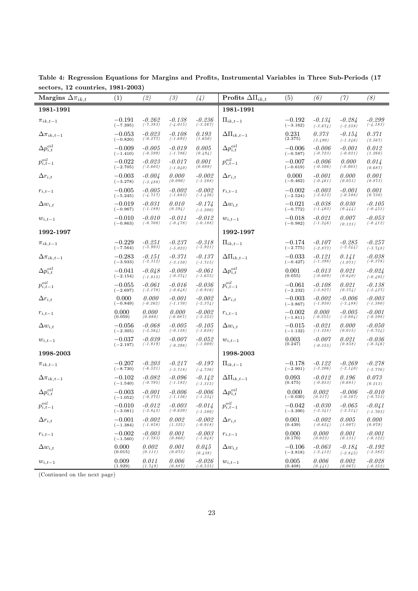| $\frac{1}{2}$ $\frac{1}{2}$ $\frac{1}{2}$ $\frac{1}{2}$ $\frac{1}{2}$ $\frac{1}{2}$ $\frac{1}{2}$ $\frac{1}{2}$ $\frac{1}{2}$ $\frac{1}{2}$ $\frac{1}{2}$ $\frac{1}{2}$ $\frac{1}{2}$ $\frac{1}{2}$ $\frac{1}{2}$ $\frac{1}{2}$ $\frac{1}{2}$ $\frac{1}{2}$ $\frac{1}{2}$ $\frac{1}{2}$ $\frac{1}{2}$ $\frac{1}{2}$<br>Margins $\Delta \pi_{ik,t}$ | (1)                    | (2)                    | (3)                    | (4)                      | Profits $\Delta\Pi_{ik,t}$ | (5)                    | (6)                    | (7)                      | (8)                    |
|----------------------------------------------------------------------------------------------------------------------------------------------------------------------------------------------------------------------------------------------------------------------------------------------------------------------------------------------------|------------------------|------------------------|------------------------|--------------------------|----------------------------|------------------------|------------------------|--------------------------|------------------------|
| 1981-1991                                                                                                                                                                                                                                                                                                                                          |                        |                        |                        |                          | 1981-1991                  |                        |                        |                          |                        |
| $\pi_{ik,t-1}$                                                                                                                                                                                                                                                                                                                                     | $-0.191$<br>$(-7.395)$ | $-0.262$<br>$(-7.383)$ | $-0.138$<br>$(-4.015)$ | $-0.236$<br>$(-3.267)$   | $\Pi_{ik,t-1}$             | $-0.192$<br>$(-3.162)$ | $-0.134$<br>$(-3.674)$ | $-0.284$<br>$(-2.258)$   | $-0.299$<br>$(-4.183)$ |
| $\Delta \pi_{ik,t-1}$                                                                                                                                                                                                                                                                                                                              | $-0.053$<br>$(-0.820)$ | $-0.023$<br>$(-0.277)$ | $-0.108$<br>$(-1.692)$ | 0.193<br>(1.650)         | $\Delta\Pi_{ik,t-1}$       | 0.231<br>(2.375)       | 0.373<br>(3.490)       | $-0.154$<br>$(-1.246)$   | 0.371<br>(2.567)       |
| $\Delta p_{i,t}^{oil}$                                                                                                                                                                                                                                                                                                                             | $-0.009$<br>$(-1.410)$ | $-0.005$<br>$(-0.599)$ | $-0.019$<br>$(-1.786)$ | 0.005<br>(0.494)         | $\Delta p_{i,t}^{oil}$     | $-0.006$<br>$(-0.587)$ | $-0.006$<br>$(-0.723)$ | $-0.001$<br>$(-0.021)$   | 0.012<br>(1.260)       |
| $p_{i,t-1}^{oil}$                                                                                                                                                                                                                                                                                                                                  | $-0.022$<br>$(-2.705)$ | $-0.023$<br>$(-2.602)$ | $-0.017$<br>$(-1.040)$ | 0.001<br>(0.089)         | $p_{i,t-1}^{oil}$          | $-0.007$<br>$(-0.619)$ | $-0.006$<br>$(-0.506)$ | 0.000<br>$(-0.003)$      | 0.014<br>(0.687)       |
| $\Delta r_{i,t}$                                                                                                                                                                                                                                                                                                                                   | $-0.003$<br>$(-3.278)$ | $-0.004$<br>$(-3.488)$ | 0.000<br>(0.090)       | $-0.002$<br>$(-1.288)$   | $\Delta r_{i,t}$           | 0.000<br>$(-0.462)$    | $-0.001$<br>$(-0.461)$ | 0.000<br>(0.051)         | 0.001<br>(0.873)       |
| $r_{i,t-1}$                                                                                                                                                                                                                                                                                                                                        | $-0.005$<br>$(-5.245)$ | $-0.005$<br>$(-4.717)$ | $-0.002$<br>$(-1.683)$ | $-0.002$<br>$(-1.426)$   | $r_{i,t-1}$                | $-0.002$<br>$(-2.524)$ | $-0.003$<br>$(-2.613)$ | $-0.001$<br>$(-0.588)$   | 0.001<br>(0.730)       |
| $\Delta w_{i,t}$                                                                                                                                                                                                                                                                                                                                   | $-0.019$<br>$(-0.967)$ | $-0.031$<br>$(-1.189)$ | 0.010<br>(0.294)       | $-0.174$<br>$(-1.200)$   | $\Delta w_{i,t}$           | $-0.021$<br>$(-0.772)$ | $-0.038$<br>$(-1.403)$ | 0.030<br>(0.444)         | -0.105<br>$(-0.451)$   |
| $w_{i,t-1}$                                                                                                                                                                                                                                                                                                                                        | $-0.010$<br>$(-0.863)$ | $-0.010$<br>$(-0.708)$ | $-0.011$<br>$(-0.478)$ | $-0.012$<br>$(-0.188)$   | $w_{i,t-1}$                | $-0.018$<br>$(-0.982)$ | $-0.021$<br>$(-1.246)$ | 0.007<br>(0.121)         | $-0.053$<br>$(-0.412)$ |
| 1992-1997                                                                                                                                                                                                                                                                                                                                          |                        |                        |                        |                          | 1992-1997                  |                        |                        |                          |                        |
| $\pi_{ik,t-1}$                                                                                                                                                                                                                                                                                                                                     | $-0.229$<br>$(-7.564)$ | $-0.251$<br>$(-5.993)$ | $-0.237$<br>$(-5.023)$ | $-0.318$<br>$(-5.921)$   | $\Pi_{ik,t-1}$             | $-0.174$<br>$(-2.775)$ | $-0.107$<br>$(-2.877)$ | $-0.285$<br>$(-2.244)$   | $-0.257$<br>$(-3.748)$ |
| $\Delta \pi_{ik,t-1}$                                                                                                                                                                                                                                                                                                                              | $-0.283$<br>$(-3.933)$ | $-0.151$<br>$(-2.312)$ | $-0.371$<br>$(-3.150)$ | $-0.137$<br>$(-1.715)$   | $\Delta\Pi_{ik,t-1}$       | $-0.033$<br>$(-0.427)$ | $-0.121$<br>$(-1.398)$ | 0.141<br>(1.071)         | $-0.038$<br>$(-0.378)$ |
| $\Delta p_{i,t}^{oil}$                                                                                                                                                                                                                                                                                                                             | $-0.041$<br>$(-2.154)$ | $-0.048$<br>$(-1.815)$ | $-0.009$<br>$(-0.374)$ | $-0.061$<br>$(-1.655)$   | $\Delta p_{i,t}^{oil}$     | 0.001<br>(0.055)       | $-0.013$<br>$(-0.609)$ | 0.021<br>(0.640)         | $-0.024$<br>$(-0.495)$ |
| $p_{i,t-1}^{\tiny oil}$                                                                                                                                                                                                                                                                                                                            | $-0.055$<br>$(-2.697)$ | $-0.061$<br>$(-2.178)$ | $-0.016$<br>$(-0.648)$ | $-0.036$<br>$(-0.916)$   | $p_{i,t-1}^{oil}$          | $-0.061$<br>$(-2.232)$ | $-0.108$<br>$(-3.827)$ | 0.021<br>(0.374)         | $-0.138$<br>$(-2.427)$ |
| $\Delta r_{i,t}$                                                                                                                                                                                                                                                                                                                                   | 0.000<br>$(-0.849)$    | 0.000<br>$(-0.262)$    | $-0.001$<br>$(-1.170)$ | $-0.002$<br>$(-2.374)$   | $\Delta r_{i,t}$           | $-0.003$<br>$(-3.867)$ | $-0.002$<br>$(-1.950)$ | $-0.006$<br>$(-3.488)$   | $-0.003$<br>$(-1.380)$ |
| $r_{i,t-1}$                                                                                                                                                                                                                                                                                                                                        | 0.000<br>(0.059)       | 0.000<br>(0.080)       | 0.000<br>$(-0.087)$    | $-0.002$<br>$(-2.252)$   | $r_{i,t-1}$                | $-0.002$<br>$(-1.811)$ | 0.000<br>$(-0.255)$    | $-0.005$<br>$(-2.084)$   | $-0.001$<br>$(-0.598)$ |
| $\Delta w_{i,t}$                                                                                                                                                                                                                                                                                                                                   | $-0.056$<br>$(-2.305)$ | $-0.068$<br>$(-2.564)$ | $-0.005$<br>$(-0.128)$ | $-0.105$<br>$(-1.628)$   | $\Delta w_{i,t}$           | $-0.015$<br>$(-1.132)$ | $-0.021$<br>$(-1.258)$ | 0.000<br>(0.015)         | -0.050<br>$(-0.724)$   |
| $w_{i,t-1}$                                                                                                                                                                                                                                                                                                                                        | $-0.037$<br>$(-2.197)$ | $-0.039$<br>$(-1.819)$ | $-0.007$<br>$(-0.298)$ | $-0.052$<br>$(-1.009)$   | $w_{i,t-1}$                | 0.003<br>(0.247)       | $-0.007$<br>$(-0.555)$ | 0.021<br>(0.858)         | -0.036<br>$(-0.346)$   |
| 1998-2003                                                                                                                                                                                                                                                                                                                                          |                        |                        |                        |                          | 1998-2003                  |                        |                        |                          |                        |
| $\pi_{ik,t-1}$                                                                                                                                                                                                                                                                                                                                     | $-0.207$<br>$(-8.730)$ | $-0.203$<br>$(-6.521)$ | $-0.217$<br>$(-5.718)$ | $-0.197$<br>$(-4.736)$   | $\Pi_{ik,t-1}$             | $-0.178$<br>$(-2.901)$ | $-0.122$<br>$(-3.206)$ | $-0.269$<br>$(-2.140)$   | -0.278<br>$(-3.776)$   |
| $\Delta \pi_{ik,t-1}$                                                                                                                                                                                                                                                                                                                              | $-0.102$<br>$(-1.540)$ | $-0.082$<br>$(-0.795)$ | $-0.096$<br>$(-1.182)$ | $-0.142$<br>$(-1.315)$   | $\Delta\Pi_{ik,t-1}$       | 0.093<br>(0.475)       | $-0.012$<br>$(-0.053)$ | 0.196<br>(0.681)         | 0.073<br>(0.213)       |
| $\Delta p_{i,t}^{oil}$                                                                                                                                                                                                                                                                                                                             | $-0.003$<br>$(-1.052)$ | $-0.001$<br>$(-0.272)$ | $-0.006$<br>$(-1.126)$ | $-0.006$<br>$(-1.234)$   | $\Delta p_{i,t}^{oil}$     | 0.000<br>$(-0.030)$    | 0.002<br>(0.217)       | $-0.006$<br>$(-0.387)$   | -0.010<br>$(-0.753)$   |
| $p_{i,t-1}^{oil}$                                                                                                                                                                                                                                                                                                                                  | $-0.010$<br>$(-3.081)$ | $-0.012$<br>$(-2.842)$ | $-0.003$<br>$(-0.620)$ | $-0.014$<br>$(-1.580)$   | $p_{i,t-1}^{oil}$          | $-0.042$<br>$(-3.390)$ | $-0.030$<br>$(-2.341)$ | $-0.065\,$<br>$(-2.514)$ | $-0.041$<br>$(-1.703)$ |
| $\Delta r_{i,t}$                                                                                                                                                                                                                                                                                                                                   | $-0.001$<br>$(-1.384)$ | $-0.002$<br>$(-1.858)$ | 0.002<br>(1.325)       | $-0.002$<br>( $-0.918$ ) | $\Delta r_{i,t}$           | 0.001<br>(0.439)       | $-0.002$<br>$(-0.624)$ | 0.005<br>(1.007)         | 0.000<br>(0.079)       |
| $r_{i,t-1}$                                                                                                                                                                                                                                                                                                                                        | $-0.002$<br>$(-1.560)$ | $-0.003$<br>$(-1.783)$ | 0.001<br>(0.860)       | $-0.003$<br>$(-1.048)$   | $r_{i,t-1}$                | 0.000<br>(0.170)       | 0.000<br>(0.023)       | 0.001<br>(0.131)         | $-0.001$<br>$(-0.122)$ |
| $\Delta w_{i,t}$                                                                                                                                                                                                                                                                                                                                   | 0.000<br>(0.015)       | 0.002<br>(0.111)       | 0.001<br>(0.073)       | 0.045<br>(0.438)         | $\Delta w_{i,t}$           | $-0.106$<br>$(-3.818)$ | $-0.063$<br>$(-2.412)$ | $-0.184$<br>$(-2.845)$   | $-0.192$<br>$(-2.582)$ |
| $\boldsymbol{w}_{i,t-1}$                                                                                                                                                                                                                                                                                                                           | 0.009<br>(1.929)       | $0.011$<br>$(1.749)$   | 0.006<br>(0.887)       | $-0.026$<br>$(-0.535)$   | $w_{i,t-1}$                | 0.005<br>(0.408)       | 0.006<br>(0.441)       | 0.002<br>(0.067)         | $-0.028$<br>$(-0.252)$ |

Table 4: Regression Equations for Margins and Profits, Instrumental Variables in Three Sub-Periods (17 sectors, 12 countries, 1981-2003)

(Continued on the next page)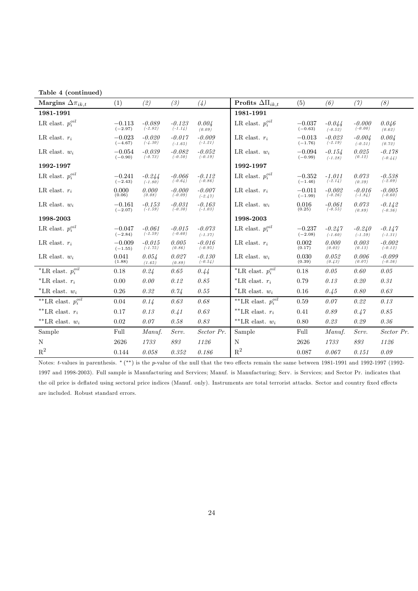| Table 4 (continued)         |                       |                       |                       |                       |                            |                       |                       |                       |                       |
|-----------------------------|-----------------------|-----------------------|-----------------------|-----------------------|----------------------------|-----------------------|-----------------------|-----------------------|-----------------------|
| Margins $\Delta \pi_{ik,t}$ | (1)                   | (2)                   | (3)                   | (4)                   | Profits $\Delta\Pi_{ik,t}$ | (5)                   | (6)                   | (7)                   | (8)                   |
| 1981-1991                   |                       |                       |                       |                       | 1981-1991                  |                       |                       |                       |                       |
| LR elast. $p_i^{oil}$       | $-0.113$<br>$(-2.97)$ | $-0.089$<br>$(-2.82)$ | $-0.123$<br>$(-1.14)$ | 0.004<br>(0.09)       | LR elast. $p_i^{oil}$      | $-0.037$<br>$(-0.63)$ | $-0.044$<br>$(-0.52)$ | $-0.000$<br>$(-0.00)$ | 0.046<br>(0.62)       |
| LR elast. $r_i$             | $-0.023$<br>$(-4.67)$ | $-0.020$<br>$(-4.30)$ | $-0.017$<br>$(-1.65)$ | $-0.009$<br>$(-1.21)$ | LR elast. $r_i$            | $-0.013$<br>$(-1.76)$ | $-0.023$<br>$(-2.19)$ | $-0.004$<br>$(-0.51)$ | 0.004<br>(0.72)       |
| LR elast. $w_i$             | $-0.054$<br>$(-0.90)$ | $-0.039$<br>$(-0.73)$ | $-0.082$<br>$(-0.50)$ | $-0.052$<br>$(-0.19)$ | LR elast. $w_i$            | $-0.094$<br>$(-0.99)$ | $-0.154$<br>$(-1.28)$ | 0.025<br>(0.12)       | $-0.178$<br>$(-0.44)$ |
| 1992-1997                   |                       |                       |                       |                       | 1992-1997                  |                       |                       |                       |                       |
| LR elast. $p_i^{oil}$       | $-0.241$<br>$(-2.43)$ | $-0.244$<br>$(-1.80)$ | $-0.066$<br>$(-0.64)$ | $-0.112$<br>$(-0.86)$ | LR elast. $p_i^{oil}$      | $-0.352$<br>$(-1.46)$ | $-1.011$<br>$(-2.14)$ | 0.073<br>(0.39)       | $-0.538$<br>$(-2.09)$ |
| LR elast. $r_i$             | 0.000<br>(0.06)       | 0.000<br>(0.08)       | $-0.000$<br>$(-0.09)$ | $-0.007$<br>$(-2.47)$ | LR elast. $r_i$            | $-0.011$<br>$(-1.99)$ | $-0.002$<br>$(-0.26)$ | $-0.016$<br>$(-1.84)$ | $-0.005$<br>$(-0.60)$ |
| LR elast. $w_i$             | $-0.161$<br>$(-2.07)$ | $-0.153$<br>$(-1.59)$ | $-0.031$<br>$(-0.30)$ | $-0.163$<br>$(-1.03)$ | LR elast. $w_i$            | 0.016<br>(0.25)       | $-0.061$<br>$(-0.55)$ | 0.073<br>(0.89)       | $-0.142$<br>$(-0.36)$ |
| 1998-2003                   |                       |                       |                       |                       | 1998-2003                  |                       |                       |                       |                       |
| LR elast. $p_i^{oil}$       | $-0.047$<br>$(-2.84)$ | $-0.061$<br>$(-2.59)$ | $-0.015$<br>$(-0.60)$ | $-0.073$<br>$(-1.37)$ | LR elast. $p_i^{oil}$      | $-0.237$<br>$(-2.08)$ | $-0.247$<br>$(-1.60)$ | $-0.240$<br>$(-1.59)$ | $-0.147$<br>$(-1.31)$ |
| LR elast. $r_i$             | $-0.009$<br>$(-1.55)$ | $-0.015$<br>$(-1.75)$ | 0.005<br>(0.86)       | $-0.016$<br>$(-0.95)$ | LR elast. $r_i$            | 0.002<br>(0.17)       | 0.000<br>(0.02)       | 0.003<br>(0.13)       | $-0.002$<br>$(-0.12)$ |
| LR elast. $w_i$             | 0.041<br>(1.88)       | 0.054<br>(1.65)       | 0.027<br>(0.89)       | $-0.130$<br>$(-0.54)$ | LR elast. $w_i$            | 0.030<br>(0.39)       | 0.052<br>(0.43)       | 0.006<br>(0.07)       | $-0.099$<br>$(-0.26)$ |
| *LR elast. $p_i^{oil}$      | 0.18                  | 0.24                  | 0.65                  | 0.44                  | *LR elast. $p_i^{oil}$     | 0.18                  | 0.05                  | 0.60                  | 0.05                  |
| *LR elast. $r_i$            | 0.00                  | 0.00                  | 0.12                  | 0.85                  | *LR elast. $r_i$           | 0.79                  | 0.13                  | 0.20                  | 0.31                  |
| $*$ LR elast. $w_i$         | 0.26                  | 0.32                  | 0.74                  | 0.55                  | $*LR$ elast. $w_i$         | 0.16                  | 0.45                  | 0.80                  | 0.63                  |
| **LR elast. $p_i^{oil}$     | 0.04                  | 0.14                  | 0.63                  | 0.68                  | **LR elast. $p_i^{oil}$    | 0.59                  | 0.07                  | 0.22                  | 0.13                  |
| **LR elast. $r_i$           | 0.17                  | 0.13                  | 0.41                  | 0.63                  | **LR elast. $r_i$          | 0.41                  | 0.89                  | 0.47                  | 0.85                  |
| **LR elast. $w_i$           | 0.02                  | 0.07                  | 0.58                  | 0.83                  | **LR elast. $w_i$          | 0.80                  | 0.23                  | 0.29                  | 0.36                  |
| Sample                      | Full                  | Manuf.                | Serv.                 | Sector Pr.            | Sample                     | Full                  | Manuf.                | Serv.                 | Sector Pr.            |
| N                           | 2626                  | 1733                  | 893                   | 1126                  | N                          | 2626                  | 1733                  | 893                   | 1126                  |
| $\mathbf{R}^2$              | 0.144                 | 0.058                 | 0.352                 | 0.186                 | $\mathbf{R}^2$             | 0.087                 | 0.067                 | 0.151                 | 0.09                  |

Notes: t-values in parenthesis. \* (\*\*) is the p-value of the null that the two effects remain the same between 1981-1991 and 1992-1997 (1992-1997 and 1998-2003). Full sample is Manufacturing and Services; Manuf. is Manufacturing; Serv. is Services; and Sector Pr. indicates that the oil price is deflated using sectoral price indices (Manuf. only). Instruments are total terrorist attacks. Sector and country fixed effects are included. Robust standard errors.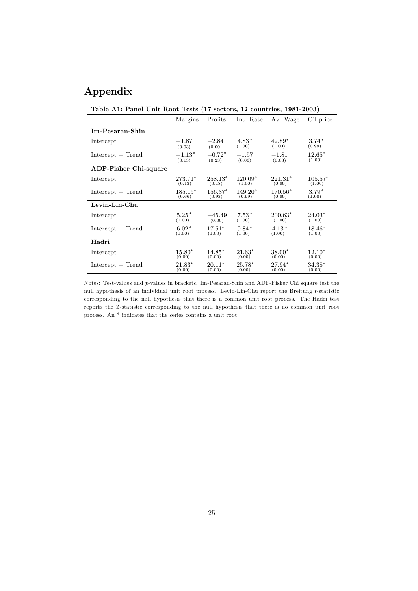## Appendix

Table A1: Panel Unit Root Tests (17 sectors, 12 countries, 1981-2003)

|                              | Margins   | Profits   | Int. Rate | Av. Wage  | Oil price |
|------------------------------|-----------|-----------|-----------|-----------|-----------|
| Im-Pesaran-Shin              |           |           |           |           |           |
| Intercept                    | $-1.87$   | $-2.84$   | $4.83*$   | $42.89*$  | $3.74*$   |
|                              | (0.03)    | (0.00)    | (1.00)    | (1.00)    | (0.99)    |
| $Intercept + Trend$          | $-1.13*$  | $-0.72*$  | $-1.57$   | $-1.81$   | $12.65*$  |
|                              | (0.13)    | (0.23)    | (0.06)    | (0.03)    | (1.00)    |
| <b>ADF-Fisher Chi-square</b> |           |           |           |           |           |
| Intercept                    | $273.71*$ | $258.13*$ | $120.09*$ | $221.31*$ | $105.57*$ |
|                              | (0.13)    | (0.18)    | (1.00)    | (0.89)    | (1.00)    |
| $Intercept + Trend$          | $185.15*$ | 156.37*   | $149.20*$ | 170.56*   | $3.79*$   |
|                              | (0.66)    | (0.93)    | (0.99)    | (0.89)    | (1.00)    |
| Levin-Lin-Chu                |           |           |           |           |           |
| Intercept                    | $5.25*$   | $-45.49$  | $7.53*$   | $200.63*$ | $24.03*$  |
|                              | (1.00)    | (0.00)    | (1.00)    | (1.00)    | (1.00)    |
| $Intercept + Trend$          | $6.02*$   | $17.51*$  | $9.84*$   | $4.13*$   | $18.46*$  |
|                              | (1.00)    | (1.00)    | (1.00)    | (1.00)    | (1.00)    |
| Hadri                        |           |           |           |           |           |
| Intercept                    | $15.80*$  | $14.85*$  | $21.63*$  | $38.00*$  | $12.10*$  |
|                              | (0.00)    | (0.00)    | (0.00)    | (0.00)    | (0.00)    |
| $Intercept + Trend$          | $21.83*$  | $20.11*$  | $25.78*$  | 27.94*    | $34.38*$  |
|                              | (0.00)    | (0.00)    | (0.00)    | (0.00)    | (0.00)    |

Notes: Test-values and p-values in brackets. Im-Pesaran-Shin and ADF-Fisher Chi square test the null hypothesis of an individual unit root process. Levin-Lin-Chu report the Breitung t-statistic corresponding to the null hypothesis that there is a common unit root process. The Hadri test reports the Z-statistic corresponding to the null hypothesis that there is no common unit root process. An \* indicates that the series contains a unit root.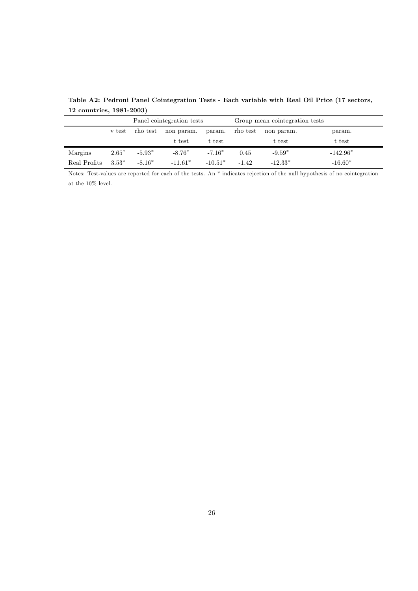|              |         |          | Panel cointegration tests |           |          | Group mean cointegration tests |            |
|--------------|---------|----------|---------------------------|-----------|----------|--------------------------------|------------|
|              | v test  | rho test | non param.                | param.    | rho test | non param.                     | param.     |
|              |         |          | t test                    | t test    |          | t test                         | t test     |
| Margins      | $2.65*$ | $-5.93*$ | $-8.76*$                  | $-7.16*$  | 0.45     | $-9.59*$                       | $-142.96*$ |
| Real Profits | $3.53*$ | $-8.16*$ | $-11.61*$                 | $-10.51*$ | $-1.42$  | $-12.33*$                      | $-16.60*$  |

Table A2: Pedroni Panel Cointegration Tests - Each variable with Real Oil Price (17 sectors, 12 countries, 1981-2003)

Notes: Test-values are reported for each of the tests. An \* indicates rejection of the null hypothesis of no cointegration at the 10% level.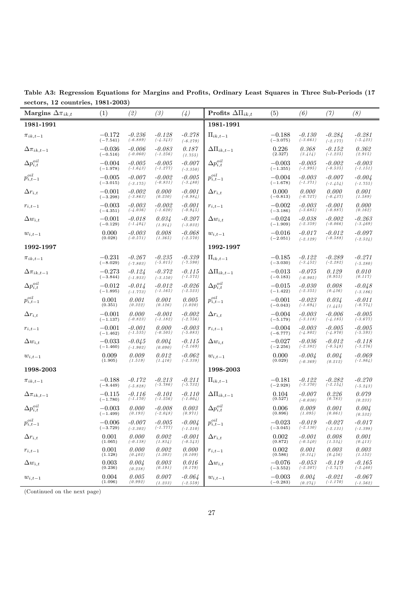Table A3: Regression Equations for Margins and Profits, Ordinary Least Squares in Three Sub-Periods (17 sectors, 12 countries, 1981-2003)

| Margins $\Delta \pi_{ik,t}$ | (1)                    | (2)                    | (3)                    | (4)                    | Profits $\Delta\Pi_{ik,t}$ | (5)                      | (6)                    | (7)                    | (8)                    |
|-----------------------------|------------------------|------------------------|------------------------|------------------------|----------------------------|--------------------------|------------------------|------------------------|------------------------|
| 1981-1991                   |                        |                        |                        |                        | 1981-1991                  |                          |                        |                        |                        |
| $\pi_{ik,t-1}$              | $-0.172$<br>$(-7.541)$ | $-0.236$<br>$(-6.889)$ | $-0.128$<br>$(-4.343)$ | $-0.278$<br>$(-6.279)$ | $\Pi_{ik,t-1}$             | $-0.188$<br>$(-3.075)$   | $-0.130$<br>$(-3.661)$ | $-0.284$<br>$(-2.177)$ | $-0.281$<br>$(-5.423)$ |
| $\Delta \pi_{ik,t-1}$       | $-0.036$<br>$(-0.516)$ | $-0.006$<br>$(-0.060)$ | $-0.083$<br>$(-1.256)$ | 0.187<br>(1.755)       | $\Delta\Pi_{ik,t-1}$       | 0.226<br>(2.327)         | 0.368<br>(3.414)       | $-0.152$<br>$(-1.235)$ | 0.362<br>(2.915)       |
| $\Delta p_{i,t}^{oil}$      | $-0.004$<br>$(-1.978)$ | $-0.005$<br>$(-1.643)$ | $-0.005$<br>$(-1.277)$ | $-0.007$<br>$(-3.350)$ | $\Delta p_{i,t}^{oil}$     | $-0.003\,$<br>$(-1.355)$ | $-0.005$<br>$(-1.995)$ | $-0.002$<br>$(-0.535)$ | $-0.003$<br>$(-1.151)$ |
| $p_{i,t-1}^{oil}$           | $-0.005$<br>$(-3.015)$ | $-0.007$<br>$(-3.175)$ | $-0.002$<br>$(-0.831)$ | $-0.005$<br>$(-3.480)$ | $p_{i,t-1}^{oil}$          | $-0.004$<br>$(-1.678)$   | $-0.003$<br>$(-1.371)$ | $-0.007$<br>$(-1.454)$ | $-0.004$<br>$(-1.755)$ |
| $\Delta r_{i,t}$            | $-0.001$<br>$(-3.298)$ | $-0.002$<br>$(-3.863)$ | 0.000<br>(0.230)       | $-0.001$<br>$(-0.984)$ | $\Delta r_{i,t}$           | 0.000<br>$(-0.813)$      | 0.000<br>$(-0.727)$    | 0.000<br>$(-0.437)$    | 0.001<br>(1.589)       |
| $r_{i,t-1}$                 | $-0.003$<br>$(-4.351)$ | $-0.003$<br>$(-4.036)$ | $-0.002$<br>$(-1.620)$ | $-0.001$<br>$(-0.945)$ | $r_{i,t-1}$                | $-0.002$<br>$(-3.186)$   | $-0.003$<br>$(-3.685)$ | $-0.001$<br>$(-0.887)$ | 0.000<br>(0.162)       |
| $\Delta w_{i,t}$            | $-0.001$<br>$(-0.129)$ | $-0.018$<br>$(-1.404)$ | 0.034<br>(1.914)       | $-0.207$<br>$(-3.032)$ | $\Delta w_{i,t}$           | $-0.024$<br>$(-1.909)$   | $-0.038$<br>$(-2.359)$ | $-0.002$<br>$(-0.066)$ | $-0.263$<br>$(-3.469)$ |
| $w_{i,t-1}$                 | 0.000<br>(0.028)       | $-0.003$<br>$(-0.571)$ | 0.008<br>(1.365)       | $-0.068$<br>$(-2.570)$ | $w_{i,t-1}$                | $-0.016$<br>$(-2.051)$   | $-0.017$<br>$(-2.129)$ | $-0.012$<br>$(-0.588)$ | $-0.097$<br>$(-2.524)$ |
| 1992-1997                   |                        |                        |                        |                        | 1992-1997                  |                          |                        |                        |                        |
| $\pi_{ik,t-1}$              | $-0.231$<br>$(-8.029)$ | $-0.267$<br>$(-7.803)$ | $-0.235$<br>$(-5.015)$ | $-0.339$<br>$(-7.590)$ | $\Pi_{ik,t-1}$             | $-0.185\,$<br>$(-3.030)$ | $-0.122$<br>$(-3.452)$ | $-0.289$<br>$(-2.282)$ | $-0.271$<br>$(-5.280)$ |
| $\Delta \pi_{ik,t-1}$       | $-0.273$<br>$(-3.844)$ | $-0.124$<br>$(-1.933)$ | $-0.372$<br>$(-3.150)$ | $-0.115$<br>$(-1.572)$ | $\Delta \Pi_{ik,t-1}$      | $-0.013$<br>$(-0.183)$   | $-0.075$<br>$(-0.905)$ | 0.129<br>(0.955)       | 0.010<br>(0.117)       |
| $\Delta p_{i,t}^{oil}$      | $-0.012$<br>$(-1.895)$ | $-0.014$<br>$(-1.773)$ | $-0.012$<br>$(-1.165)$ | $-0.026$<br>$(-2.523)$ | $\Delta p_{i,t}^{oil}$     | $-0.015$<br>$(-1.422)$   | $-0.030$<br>$(-2.355)$ | 0.008<br>(0.436)       | $-0.048$<br>$(-3.186)$ |
| $p_{i,t-1}^{oil}$           | 0.001<br>(0.351)       | 0.001<br>(0.322)       | 0.001<br>(0.126)       | 0.005<br>(1.020)       | $p_{i,t-1}^{oil}$          | $-0.001$<br>$(-0.043)$   | $-0.023$<br>$(-1.694)$ | 0.034<br>(1.445)       | $-0.011$<br>$(-0.774)$ |
| $\Delta r_{i,t}$            | $-0.001$<br>$(-1.137)$ | 0.000<br>$(-0.823)$    | $-0.001$<br>$(-1.182)$ | $-0.002$<br>$(-2.756)$ | $\Delta r_{i,t}$           | $-0.004$<br>$(-5.179)$   | $-0.003$<br>$(-3.118)$ | $-0.006$<br>$(-4.185)$ | $-0.005$<br>$(-3.677)$ |
| $r_{i,t-1}$                 | $-0.001$<br>$(-1.462)$ | $-0.001$<br>$(-1.535)$ | 0.000<br>$(-0.505)$    | $-0.003$<br>$(-5.083)$ | $r_{i,t-1}$                | $-0.004$<br>$(-6.777)$   | $-0.003$<br>$(-4.802)$ | $-0.005$<br>$(-4.870)$ | $-0.005$<br>$(-5.593)$ |
| $\Delta w_{i,t}$            | $-0.033$<br>$(-1.460)$ | $-0.045$<br>$(-1.902)$ | 0.004<br>(0.090)       | $-0.115$<br>$(-2.169)$ | $\Delta w_{i,t}$           | $-0.027$<br>$(-2.256)$   | $-0.036$<br>$(-2.382)$ | $-0.012$<br>$(-0.548)$ | $-0.118$<br>$(-3.276)$ |
| $w_{i,t-1}$                 | 0.009<br>(1.905)       | 0.009<br>(1.519)       | 0.012<br>(1.416)       | $-0.062$<br>$(-2.338)$ | $w_{i,t-1}$                | 0.000<br>(0.029)         | $-0.004$<br>$(-0.369)$ | 0.004<br>(0.212)       | $-0.069$<br>$(-1.864)$ |
| 1998-2003                   |                        |                        |                        |                        | 1998-2003                  |                          |                        |                        |                        |
| $\pi_{ik,t-1}$              | $-0.188$<br>$(-8.449)$ | $-0.172$<br>$(-5.828)$ | $-0.213$<br>$(-5.786)$ | $-0.211$<br>$(-5.732)$ | $\Pi_{ik,t-1}$             | $-0.181$<br>$(-2.928)$   | $-0.122$<br>$(-3.370)$ | $-0.282$<br>$(-2.154)$ | $-0.270$<br>$(-5.243)$ |
| $\Delta \pi_{ik,t-1}$       | $-0.115$<br>$(-1.780)$ | $-0.116$<br>$(-1.170)$ | $-0.101$<br>$(-1.256)$ | $-0.110$<br>$(-1.004)$ | $\Delta \Pi_{ik,t-1}$      | 0.104<br>(0.527)         | $-0.007$<br>$(-0.030)$ | 0.226<br>(0.783)       | 0.079<br>(0.233)       |
| $\Delta p_{i,t}^{oil}$      | $-0.003$<br>$(-1.499)$ | 0.000<br>(0.193)       | $-0.008$<br>$(-2.048)$ | 0.003<br>(0.971)       | $\Delta p_{i,t}^{oil}$     | 0.006<br>(0.896)         | 0.009<br>(1.095)       | 0.001<br>(0.061)       | 0.004<br>(0.532)       |
| $p_{i,t-1}^{\tiny oil}$     | $-0.006$<br>$(-3.729)$ | $-0.007$<br>$(-3.302)$ | $-0.005$<br>$(-1.777)$ | $-0.004$<br>$(-1.210)$ | $p_{i,t-1}^{\tiny oil}$    | $-0.023$<br>$(-3.045)$   | $-0.019$<br>$(-2.130)$ | $-0.027$<br>$(-2.131)$ | $-0.017$<br>$(-1.398)$ |
| $\Delta r_{i,t}$            | 0.001<br>(1.065)       | 0.000<br>$(-0.138)$    | 0.002<br>(1.834)       | $-0.001$<br>$(-0.543)$ | $\Delta r_{i,t}$           | 0.002<br>(0.872)         | $-0.001$<br>$(-0.540)$ | 0.008<br>(1.534)       | 0.001<br>(0.413)       |
| $r_{i,t-1}$                 | 0.001<br>(1.128)       | 0.000<br>(0.402)       | 0.002<br>(1.203)       | 0.000<br>(0.109)       | $r_{i,t-1}$                | 0.002<br>(0.586)         | 0.001<br>(0.314)       | 0.003<br>(0.456)       | 0.003<br>(1.152)       |
| $\Delta w_{i,t}$            | 0.003<br>(0.236)       | 0.004<br>(0.238)       | 0.003<br>(0.191)       | 0.016<br>(0.179)       | $\Delta w_{i,t}$           | $-0.076$<br>$(-3.552)$   | $-0.053$<br>$(-2.207)$ | $-0.119$<br>$(-2.747)$ | $-0.165$<br>$(-2.460)$ |
| $w_{i,t-1}$                 | 0.004<br>(1.096)       | 0.005<br>(0.992)       | 0.007<br>(1.233)       | $-0.064$<br>$(-2.559)$ | $\boldsymbol{w}_{i,t-1}$   | $-0.003$<br>$(-0.283)$   | 0.004<br>(0.274)       | $-0.021$<br>$(-1.170)$ | $-0.067$<br>$(-1.562)$ |

(Continued on the next page)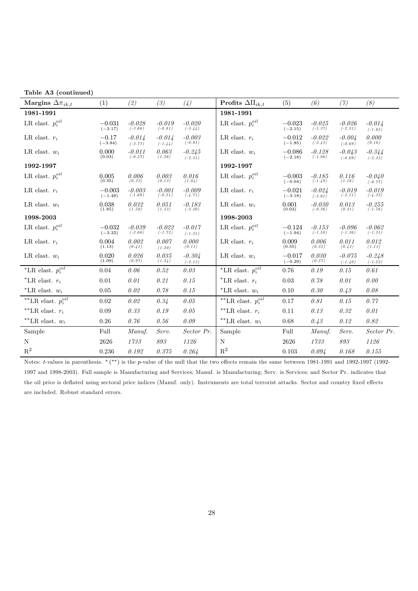| Table A3 (continued)                      |                       |                       |                       |                       |                               |                       |                       |                       |                       |
|-------------------------------------------|-----------------------|-----------------------|-----------------------|-----------------------|-------------------------------|-----------------------|-----------------------|-----------------------|-----------------------|
| Margins $\Delta \pi_{ik,t}$               | (1)                   | (2)                   | (3)                   | (4)                   | Profits $\Delta\Pi_{ik,t}$    | (5)                   | (6)                   | (7)                   | (8)                   |
| 1981-1991                                 |                       |                       |                       |                       | 1981-1991                     |                       |                       |                       |                       |
| LR elast. $p_i^{oil}$                     | $-0.031$<br>$(-3.17)$ | $-0.028$<br>$(-3.66)$ | $-0.019$<br>$(-0.81)$ | $-0.020$<br>$(-3.44)$ | LR elast. $p_i^{oil}$         | $-0.023$<br>$(-2.15)$ | $-0.025$<br>$(-1.37)$ | $-0.026$<br>$(-2.31)$ | $-0.014$<br>$(-1.85)$ |
| LR elast. $r_i$                           | $-0.17$<br>$(-3.84)$  | $-0.014$<br>$(-3.77)$ | $-0.014$<br>$(-1.44)$ | $-0.003$<br>$(-0.91)$ | LR elast. $r_i$               | $-0.012$<br>$(-1.85)$ | $-0.022$<br>$(-2.43)$ | $-0.004$<br>$(-0.69)$ | 0.000<br>(0.16)       |
| LR elast. $w_i$                           | 0.000<br>(0.03)       | $-0.011$<br>$(-0.57)$ | 0.063<br>(1.26)       | $-0.245$<br>$(-2.31)$ | LR elast. $w_i$               | $-0.086$<br>$(-2.18)$ | $-0.128$<br>$(-1.86)$ | $-0.043$<br>$(-0.69)$ | $-0.344$<br>$(-2.35)$ |
| 1992-1997                                 |                       |                       |                       |                       | 1992-1997                     |                       |                       |                       |                       |
| LR elast. $p_i^{oil}$                     | 0.005<br>(0.35)       | 0.006<br>(0.33)       | 0.003<br>(0.13)       | 0.016<br>(1.04)       | LR elast. $p_i^{oil}$         | $-0.003$<br>$(-0.04)$ | $-0.185$<br>$(-1.48)$ | 0.116<br>(1.16)       | $-0.040$<br>$(-0.77)$ |
| LR elast. $r_i$                           | $-0.003$<br>$(-1.48)$ | $-0.003$<br>$(-1.60)$ | $-0.001$<br>$(-0.51)$ | $-0.009$<br>$(-4.71)$ | LR elast. $r_i$               | $-0.021$<br>$(-3.18)$ | $-0.024$<br>$(-3.01)$ | $-0.019$<br>$(-2.11)$ | $-0.019$<br>$(-4.32)$ |
| LR elast. $w_i$                           | 0.038<br>(1.85)       | 0.032<br>(1.50)       | 0.051<br>(1.33)       | $-0.183$<br>$(-2.20)$ | LR elast. $w_i$               | 0.001<br>(0.03)       | $-0.030$<br>$(-0.36)$ | 0.013<br>(0.21)       | $-0.255$<br>$(-1.76)$ |
| 1998-2003                                 |                       |                       |                       |                       | 1998-2003                     |                       |                       |                       |                       |
| LR elast. $p_i^{oil}$                     | $-0.032$<br>$(-3.32)$ | $-0.039$<br>$(-2.66)$ | $-0.022$<br>$(-1.72)$ | $-0.017$<br>$(-1.21)$ | LR elast. $p_i^{oil}$         | $-0.124$<br>$(-1.94)$ | $-0.153$<br>$(-1.58)$ | $-0.096$<br>$(-1.36)$ | $-0.062$<br>$(-1.31)$ |
| LR elast. $r_i$                           | 0.004<br>(1.13)       | 0.002<br>(0.41)       | 0.007<br>(1.20)       | 0.000<br>(0.11)       | LR elast. $r_i$               | 0.009<br>(0.55)       | 0.006<br>(0.32)       | 0.011<br>(0.42)       | 0.012<br>(1.13)       |
| LR elast. $w_i$                           | 0.020<br>(1.09)       | 0.026<br>(0.97)       | 0.035<br>(1.24)       | $-0.304$<br>$(-2.13)$ | LR elast. $w_i$               | $-0.017$<br>$(-0.29)$ | 0.030<br>(0.27)       | $-0.075$<br>$(-1.40)$ | $-0.248$<br>$(-1.52)$ |
| *LR elast. $p_i^{oil}$                    | 0.04                  | 0.06                  | 0.52                  | 0.03                  | *LR elast. $p_i^{oil}$        | 0.76                  | 0.19                  | 0.15                  | 0.61                  |
| *LR elast. $r_i$                          | 0.01                  | 0.01                  | 0.21                  | 0.15                  | *LR elast. $r_i$              | 0.03                  | 0.78                  | 0.01                  | 0.00                  |
| *LR elast. $w_i$                          | 0.05                  | 0.02                  | 0.78                  | 0.15                  | *LR elast. $w_i$              | 0.10                  | 0.30                  | 0.43                  | 0.08                  |
| $^{\ast\ast}\text{LR}$ elast. $p_i^{oil}$ | 0.02                  | 0.02                  | 0.34                  | 0.05                  | **LR elast. $p_i^{\tiny oil}$ | 0.17                  | 0.81                  | 0.15                  | 0.77                  |
| **LR elast. $r_i$                         | 0.09                  | 0.33                  | 0.19                  | 0.05                  | **LR elast. $r_i$             | 0.11                  | 0.13                  | 0.32                  | 0.01                  |
| **LR elast. $w_i$                         | 0.26                  | $0.76\,$              | 0.56                  | 0.09                  | **LR elast. $w_i$             | 0.68                  | 0.43                  | 0.12                  | 0.82                  |
| Sample                                    | Full                  | Manuf.                | Serv.                 | Sector Pr.            | Sample                        | Full                  | Manuf.                | Serv.                 | Sector Pr.            |
| N                                         | 2626                  | 1733                  | $\mathcal{S}93$       | 1126                  | N                             | 2626                  | 1733                  | 893                   | 1126                  |
| $\mathbf{R}^2$                            | 0.236                 | 0.192                 | 0.375                 | 0.264                 | $\mathbf{R}^2$                | 0.103                 | 0.094                 | 0.168                 | 0.155                 |

Notes: t-values in parenthesis. ∗ (∗∗) is the p-value of the null that the two effects remain the same between 1981-1991 and 1992-1997 (1992- 1997 and 1998-2003). Full sample is Manufacturing and Services; Manuf. is Manufacturing; Serv. is Services; and Sector Pr. indicates that the oil price is deflated using sectoral price indices (Manuf. only). Instruments are total terrorist attacks. Sector and country fixed effects are included. Robust standard errors.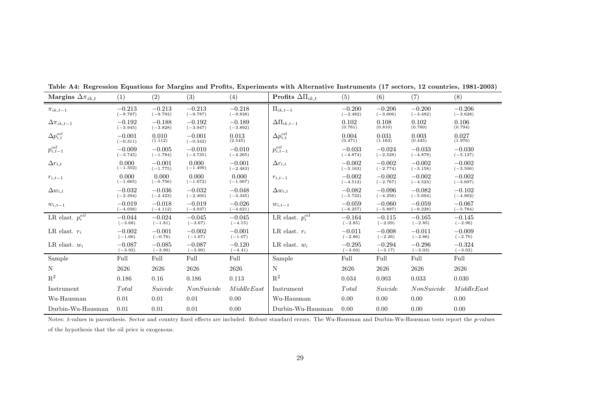| Margins $\Delta \pi_{ik,t}$ | (1)                    | (2)                    | (3)                    | (4)                    | Profits $\Delta\Pi_{ik,t}$    | (5)                    | (6)                    | (7)                    | (8)                    |
|-----------------------------|------------------------|------------------------|------------------------|------------------------|-------------------------------|------------------------|------------------------|------------------------|------------------------|
| $\pi_{ik,t-1}$              | $-0.213$<br>$(-9.787)$ | $-0.213$<br>$(-9.793)$ | $-0.213$<br>$(-9.787)$ | $-0.218$<br>$(-9.838)$ | $\Pi_{ik,t-1}$                | $-0.200$<br>$(-3.482)$ | $-0.206$<br>$(-3.606)$ | $-0.200$<br>$(-3.482)$ | $-0.206$<br>$(-3.628)$ |
| $\Delta\pi_{ik,t-1}$        | $-0.192$<br>$(-3.945)$ | $-0.188$<br>$(-3.828)$ | $-0.192$<br>$(-3.947)$ | $-0.189$<br>$(-3.892)$ | $\Delta\Pi_{ik,t-1}$          | 0.102<br>(0.761)       | 0.108<br>(0.810)       | 0.102<br>(0.760)       | 0.106<br>(0.794)       |
| $\Delta p_{i,t}^{oil}$      | $-0.001$<br>$(-0.311)$ | 0.010<br>(1.112)       | $-0.001$<br>$(-0.342)$ | 0.013<br>(2.545)       | $\Delta p_{i,t}^{oil}$        | 0.004<br>(0.471)       | 0.031<br>(1.163)       | 0.003<br>(0.445)       | 0.027<br>(1.976)       |
| $p_{i,t-1}^{oil}$           | $-0.009$<br>$(-3.745)$ | $-0.005$<br>$(-1.784)$ | $-0.010$<br>$(-3.735)$ | $-0.010$<br>$(-4.265)$ | $p_{i,t-1}^{\tiny oil}$       | $-0.033$<br>$(-4.874)$ | $-0.024$<br>$(-2.528)$ | $-0.033$<br>$(-4.878)$ | $-0.030$<br>$(-5.137)$ |
| $\Delta r_{i,t}$            | 0.000<br>$(-1.502)$    | $-0.001$<br>$(-1.775)$ | 0.000<br>$(-1.499)$    | $-0.001$<br>$(-2.483)$ | $\Delta r_{i,t}$              | $-0.002$<br>$(-3.163)$ | $-0.002$<br>$(-2.774)$ | $-0.002$<br>$(-3.158)$ | $-0.002$<br>$(-3.506)$ |
| $r_{i,t-1}$                 | 0.000<br>$(-1.665)$    | 0.000<br>$(-0.756)$    | 0.000<br>$(-1.672)$    | 0.000<br>$(-1.067)$    | $r_{i,t-1}$                   | $-0.002$<br>$(-4.512)$ | $-0.002$<br>$(-2.767)$ | $-0.002$<br>$(-4.523)$ | $-0.002$<br>$(-3.697)$ |
| $\Delta w_{i,t}$            | $-0.032$<br>$(-2.394)$ | $-0.036$<br>$(-2.423)$ | $-0.032$<br>$(-2.400)$ | $-0.048$<br>$(-3.345)$ | $\Delta w_{i,t}$              | $-0.082$<br>$(-5.722)$ | $-0.096$<br>$(-4.256)$ | $-0.082$<br>$(-5.694)$ | $-0.102$<br>$(-4.902)$ |
| $w_{i,t-1}$                 | $-0.019$<br>$(-4.056)$ | $-0.018$<br>$(-4.112)$ | $-0.019$<br>$(-4.037)$ | $-0.026$<br>$(-4.621)$ | $w_{i,t-1}$                   | $-0.059$<br>$(-6.257)$ | $-0.060$<br>$(-5.897)$ | $-0.059$<br>$(-6.228)$ | $-0.067$<br>$(-5.784)$ |
| LR elast. $p_i^{oil}$       | $-0.044$<br>$(-3.68)$  | $-0.024$<br>$(-1.81)$  | $-0.045$<br>$(-3.67)$  | $-0.045$<br>$(-4.15)$  | LR elast. $p_{i}^{\tiny oil}$ | $-0.164$<br>$(-2.85)$  | $-0.115$<br>$(-2.09)$  | $-0.165$<br>$(-2.85)$  | $-0.145$<br>$(-2.96)$  |
| LR elast. $r_i$             | $-0.002$<br>$(-1.66)$  | $-0.001$<br>$(-0.76)$  | $-0.002$<br>$(-1.67)$  | $-0.001$<br>$(-1.07)$  | LR elast. $r_i$               | $-0.011$<br>$(-2.86)$  | $-0.008$<br>$(-2.26)$  | $-0.011$<br>$(-2.86)$  | $-0.009$<br>$(-2.70)$  |
| LR elast. $w_i$             | $-0.087$<br>$(-3.92)$  | $-0.085$<br>$(-3.90)$  | $-0.087$<br>$(-3.90)$  | $-0.120$<br>$(-4.41)$  | LR elast. $w_i$               | $-0.295$<br>$(-3.03)$  | $-0.294$<br>$(-3.17)$  | $-0.296$<br>$(-3.03)$  | $-0.324$<br>$(-3.02)$  |
| Sample                      | Full                   | Full                   | Full                   | Full                   | Sample                        | Full                   | Full                   | Full                   | Full                   |
| N                           | 2626                   | 2626                   | 2626                   | 2626                   | N                             | 2626                   | 2626                   | 2626                   | 2626                   |
| $R^2$                       | 0.186                  | 0.16                   | 0.186                  | 0.113                  | $R^2$                         | 0.034                  | 0.003                  | 0.033                  | 0.030                  |
| Instrument                  | Total                  | Suicide                | <i>NonSuicide</i>      | MiddeEast              | Instrument                    | Total                  | Suicide                | <b>NonSuicide</b>      | MiddeEast              |
| Wu-Hausman                  | 0.01                   | 0.01                   | 0.01                   | 0.00                   | Wu-Hausman                    | 0.00                   | 0.00                   | 0.00                   | 0.00                   |
| Durbin-Wu-Hausman           | 0.01                   | 0.01                   | 0.01                   | 0.00                   | Durbin-Wu-Hausman             | 0.00                   | 0.00                   | 0.00                   | 0.00                   |

Table A4: Regression Equations for Margins and Profits, Experiments with Alternative Instruments (17 sectors, <sup>12</sup> countries, 1981-2003)

Notes: t-values in parenthesis. Sector and country fixed effects are included. Robust standard errors. The Wu-Hausman and Durbin-Wu-Hausman tests report the  $p$ -values of the hypothesis that the oil price is exogenous.